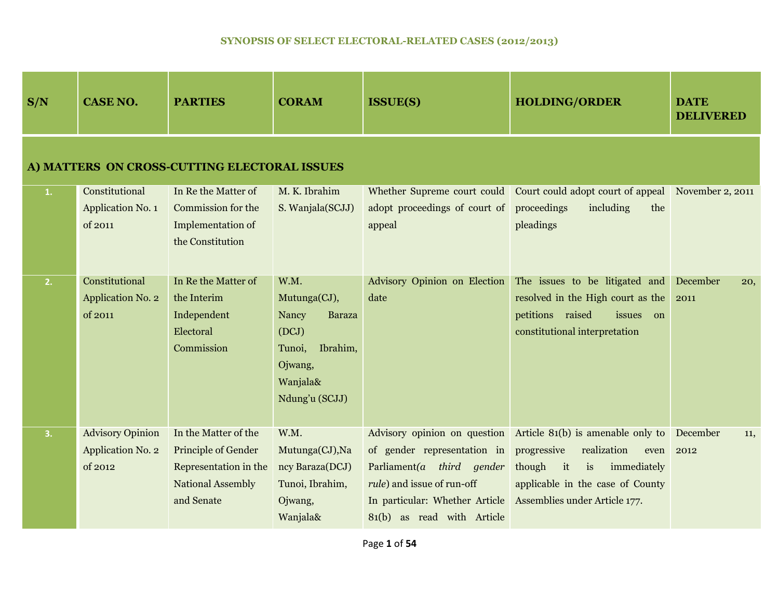| S/N                                          | <b>CASE NO.</b>                                         | <b>PARTIES</b>                                                                                          | <b>CORAM</b>                                                                                                           | <b>ISSUE(S)</b>                                                                                                                                                | <b>HOLDING/ORDER</b>                                                                                                                                                                                           | <b>DATE</b><br><b>DELIVERED</b> |  |  |  |
|----------------------------------------------|---------------------------------------------------------|---------------------------------------------------------------------------------------------------------|------------------------------------------------------------------------------------------------------------------------|----------------------------------------------------------------------------------------------------------------------------------------------------------------|----------------------------------------------------------------------------------------------------------------------------------------------------------------------------------------------------------------|---------------------------------|--|--|--|
| A) MATTERS ON CROSS-CUTTING ELECTORAL ISSUES |                                                         |                                                                                                         |                                                                                                                        |                                                                                                                                                                |                                                                                                                                                                                                                |                                 |  |  |  |
| 1.                                           | Constitutional<br>Application No. 1<br>of 2011          | In Re the Matter of<br>Commission for the<br><b>Implementation of</b><br>the Constitution               | M. K. Ibrahim<br>S. Wanjala(SCJJ)                                                                                      | adopt proceedings of court of proceedings<br>appeal                                                                                                            | Whether Supreme court could Court could adopt court of appeal<br>including<br>the<br>pleadings                                                                                                                 | November 2, 2011                |  |  |  |
| 2.                                           | Constitutional<br><b>Application No. 2</b><br>of 2011   | In Re the Matter of<br>the Interim<br>Independent<br>Electoral<br>Commission                            | W.M.<br>Mutunga(CJ),<br>Nancy<br><b>Baraza</b><br>(DCJ)<br>Ibrahim,<br>Tunoi,<br>Ojwang,<br>Wanjala&<br>Ndung'u (SCJJ) | Advisory Opinion on Election<br>date                                                                                                                           | The issues to be litigated and<br>resolved in the High court as the<br>petitions raised<br>issues<br>on<br>constitutional interpretation                                                                       | December<br>20,<br>2011         |  |  |  |
| 3.                                           | <b>Advisory Opinion</b><br>Application No. 2<br>of 2012 | In the Matter of the<br>Principle of Gender<br>Representation in the<br>National Assembly<br>and Senate | W.M.<br>Mutunga(CJ), Na<br>ncy Baraza(DCJ)<br>Tunoi, Ibrahim,<br>Ojwang,<br>Wanjala&                                   | of gender representation in<br>Parliament(a third gender<br><i>rule</i> ) and issue of run-off<br>In particular: Whether Article<br>81(b) as read with Article | Advisory opinion on question Article 81(b) is amenable only to<br>progressive<br>realization<br>even<br>though<br>it<br>is<br>immediately<br>applicable in the case of County<br>Assemblies under Article 177. | December<br>11,<br>2012         |  |  |  |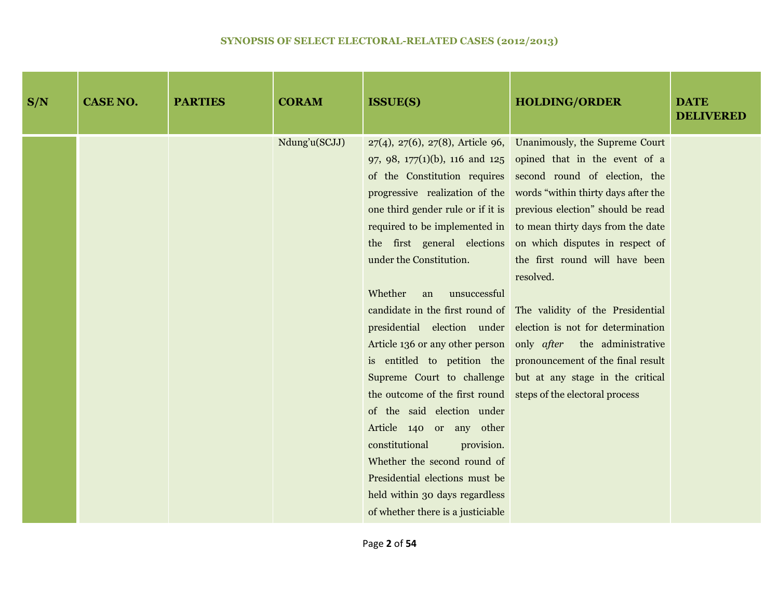| S/N | <b>CASE NO.</b> | <b>PARTIES</b> | <b>CORAM</b>  | <b>ISSUE(S)</b>                                                                                                                                                                                                                                                                                                                                             | <b>HOLDING/ORDER</b>                                                                                                                                                                                                                                                                                                                                                                                                                                                                                                                                                                                                                                                                                                                                                                                                                                                              | <b>DATE</b><br><b>DELIVERED</b> |
|-----|-----------------|----------------|---------------|-------------------------------------------------------------------------------------------------------------------------------------------------------------------------------------------------------------------------------------------------------------------------------------------------------------------------------------------------------------|-----------------------------------------------------------------------------------------------------------------------------------------------------------------------------------------------------------------------------------------------------------------------------------------------------------------------------------------------------------------------------------------------------------------------------------------------------------------------------------------------------------------------------------------------------------------------------------------------------------------------------------------------------------------------------------------------------------------------------------------------------------------------------------------------------------------------------------------------------------------------------------|---------------------------------|
|     |                 |                | Ndung'u(SCJJ) | under the Constitution.<br>Whether<br>unsuccessful<br>an<br>the outcome of the first round steps of the electoral process<br>of the said election under<br>Article 140 or any other<br>constitutional<br>provision.<br>Whether the second round of<br>Presidential elections must be<br>held within 30 days regardless<br>of whether there is a justiciable | $27(4)$ , $27(6)$ , $27(8)$ , Article 96, Unanimously, the Supreme Court<br>97, 98, 177(1)(b), 116 and 125 opined that in the event of a<br>of the Constitution requires second round of election, the<br>progressive realization of the words "within thirty days after the<br>one third gender rule or if it is previous election" should be read<br>required to be implemented in to mean thirty days from the date<br>the first general elections on which disputes in respect of<br>the first round will have been<br>resolved.<br>candidate in the first round of The validity of the Presidential<br>presidential election under election is not for determination<br>Article 136 or any other person only <i>after</i> the administrative<br>is entitled to petition the pronouncement of the final result<br>Supreme Court to challenge but at any stage in the critical |                                 |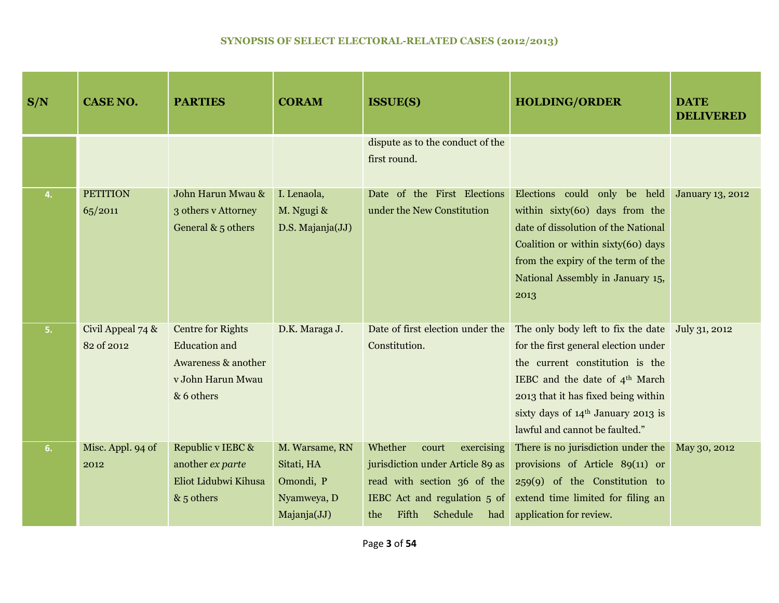| S/N | <b>CASE NO.</b>                 | <b>PARTIES</b>                                                                                             | <b>CORAM</b>                                                            | <b>ISSUE(S)</b>                                                                                                                                                      | <b>HOLDING/ORDER</b>                                                                                                                                                                                                                                                       | <b>DATE</b><br><b>DELIVERED</b> |
|-----|---------------------------------|------------------------------------------------------------------------------------------------------------|-------------------------------------------------------------------------|----------------------------------------------------------------------------------------------------------------------------------------------------------------------|----------------------------------------------------------------------------------------------------------------------------------------------------------------------------------------------------------------------------------------------------------------------------|---------------------------------|
|     |                                 |                                                                                                            |                                                                         | dispute as to the conduct of the<br>first round.                                                                                                                     |                                                                                                                                                                                                                                                                            |                                 |
| 4.  | <b>PETITION</b><br>65/2011      | John Harun Mwau &<br>3 others v Attorney<br>General $& 5$ others                                           | I. Lenaola,<br>M. Ngugi &<br>D.S. Majanja(JJ)                           | Date of the First Elections<br>under the New Constitution                                                                                                            | Elections could only be held<br>within $sixty(60)$ days from the<br>date of dissolution of the National<br>Coalition or within sixty(60) days<br>from the expiry of the term of the<br>National Assembly in January 15,<br>2013                                            | <b>January 13, 2012</b>         |
| 5.  | Civil Appeal 74 &<br>82 of 2012 | <b>Centre for Rights</b><br><b>Education</b> and<br>Awareness & another<br>v John Harun Mwau<br>& 6 others | D.K. Maraga J.                                                          | Date of first election under the<br>Constitution.                                                                                                                    | The only body left to fix the date<br>for the first general election under<br>the current constitution is the<br>IEBC and the date of 4 <sup>th</sup> March<br>2013 that it has fixed being within<br>sixty days of 14th January 2013 is<br>lawful and cannot be faulted." | July 31, 2012                   |
| 6.  | Misc. Appl. 94 of<br>2012       | Republic v IEBC &<br>another ex parte<br>Eliot Lidubwi Kihusa<br>$& 5$ others                              | M. Warsame, RN<br>Sitati, HA<br>Omondi, P<br>Nyamweya, D<br>Majanja(JJ) | Whether<br>court<br>exercising<br>jurisdiction under Article 89 as<br>read with section 36 of the<br>IEBC Act and regulation 5 of<br>Fifth<br>Schedule<br>the<br>had | There is no jurisdiction under the<br>provisions of Article 89(11) or<br>259(9) of the Constitution to<br>extend time limited for filing an<br>application for review.                                                                                                     | May 30, 2012                    |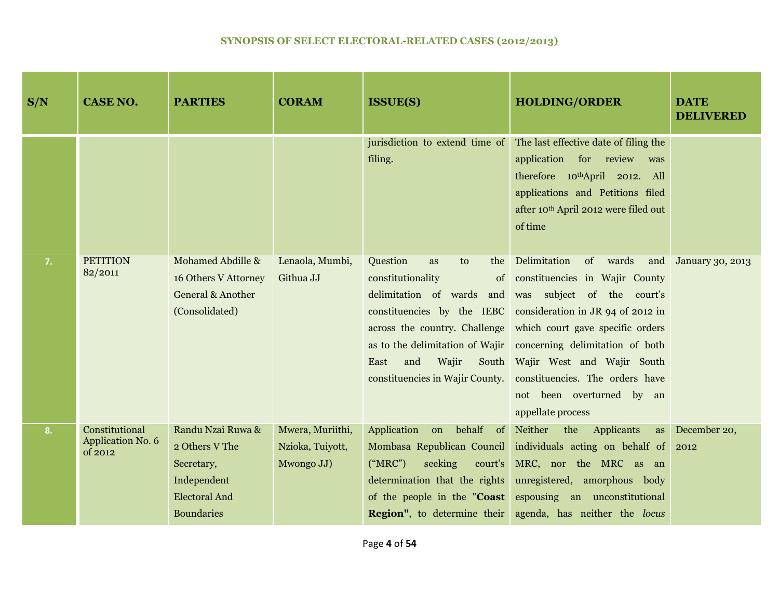| S/N | <b>CASE NO.</b>                                       | <b>PARTIES</b>                                                                                                | <b>CORAM</b>                                       | <b>ISSUE(S)</b>                                                                                                    | <b>HOLDING/ORDER</b>                                                                                                                                                                                                                                                                                                                                                                                                                                | <b>DATE</b><br><b>DELIVERED</b> |
|-----|-------------------------------------------------------|---------------------------------------------------------------------------------------------------------------|----------------------------------------------------|--------------------------------------------------------------------------------------------------------------------|-----------------------------------------------------------------------------------------------------------------------------------------------------------------------------------------------------------------------------------------------------------------------------------------------------------------------------------------------------------------------------------------------------------------------------------------------------|---------------------------------|
|     |                                                       |                                                                                                               |                                                    | filing.                                                                                                            | jurisdiction to extend time of The last effective date of filing the<br>application for review was<br>therefore 10thApril 2012. All<br>applications and Petitions filed<br>after 10th April 2012 were filed out<br>of time                                                                                                                                                                                                                          |                                 |
| 7.  | <b>PETITION</b><br>82/2011                            | Mohamed Abdille &<br>16 Others V Attorney<br>General & Another<br>(Consolidated)                              | Lenaola, Mumbi,<br>Githua JJ                       | Question<br>to<br>the<br><b>as</b><br>constitutionality<br>and<br>Wajir<br>East<br>constituencies in Wajir County. | Delimitation<br>of wards<br>of constituencies in Wajir County<br>delimitation of wards and was subject of the court's<br>constituencies by the IEBC consideration in JR 94 of 2012 in<br>across the country. Challenge which court gave specific orders<br>as to the delimitation of Wajir concerning delimitation of both<br>South Wajir West and Wajir South<br>constituencies. The orders have<br>not been overturned by an<br>appellate process | and January 30, 2013            |
| 8.  | Constitutional<br><b>Application No. 6</b><br>of 2012 | Randu Nzai Ruwa &<br>2 Others V The<br>Secretary,<br>Independent<br><b>Electoral And</b><br><b>Boundaries</b> | Mwera, Muriithi,<br>Nzioka, Tuiyott,<br>Mwongo JJ) | Application on behalf of<br>("MRC")<br>seeking<br>court's<br>determination that the rights                         | Neither<br>the Applicants<br>as<br>Mombasa Republican Council individuals acting on behalf of<br>MRC, nor the MRC as an<br>unregistered, amorphous body<br>of the people in the " <b>Coast</b> espousing an unconstitutional<br><b>Region"</b> , to determine their agenda, has neither the locus                                                                                                                                                   | December 20,<br>2012            |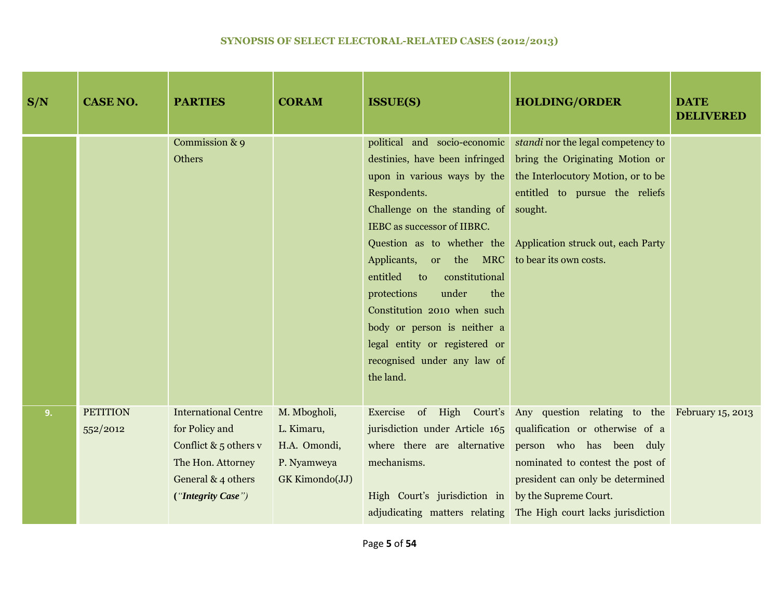| S/N | <b>CASE NO.</b>             | <b>PARTIES</b>                                                                                                                            | <b>CORAM</b>                                                                | <b>ISSUE(S)</b>                                                                                                                                                                                                                                                                                                                                                                                                                                                         | <b>HOLDING/ORDER</b>                                                                                                                                                                                                                                                                                                                                                  | <b>DATE</b><br><b>DELIVERED</b> |
|-----|-----------------------------|-------------------------------------------------------------------------------------------------------------------------------------------|-----------------------------------------------------------------------------|-------------------------------------------------------------------------------------------------------------------------------------------------------------------------------------------------------------------------------------------------------------------------------------------------------------------------------------------------------------------------------------------------------------------------------------------------------------------------|-----------------------------------------------------------------------------------------------------------------------------------------------------------------------------------------------------------------------------------------------------------------------------------------------------------------------------------------------------------------------|---------------------------------|
|     |                             | Commission & 9<br>Others                                                                                                                  |                                                                             | political and socio-economic<br>destinies, have been infringed<br>upon in various ways by the<br>Respondents.<br>Challenge on the standing of<br>IEBC as successor of IIBRC.<br>Question as to whether the<br>Applicants, or the MRC<br>entitled<br>constitutional<br>$\overline{\mathbf{t}}$<br>protections<br>under<br>the<br>Constitution 2010 when such<br>body or person is neither a<br>legal entity or registered or<br>recognised under any law of<br>the land. | standi nor the legal competency to<br>bring the Originating Motion or<br>the Interlocutory Motion, or to be<br>entitled to pursue the reliefs<br>sought.<br>Application struck out, each Party<br>to bear its own costs.                                                                                                                                              |                                 |
| 9.  | <b>PETITION</b><br>552/2012 | <b>International Centre</b><br>for Policy and<br>Conflict & $5$ others v<br>The Hon. Attorney<br>General & 4 others<br>("Integrity Case") | M. Mbogholi,<br>L. Kimaru,<br>H.A. Omondi,<br>P. Nyamweya<br>GK Kimondo(JJ) | mechanisms.<br>High Court's jurisdiction in                                                                                                                                                                                                                                                                                                                                                                                                                             | Exercise of High Court's Any question relating to the February 15, 2013<br>jurisdiction under Article 165 qualification or otherwise of a<br>where there are alternative person who has been duly<br>nominated to contest the post of<br>president can only be determined<br>by the Supreme Court.<br>adjudicating matters relating The High court lacks jurisdiction |                                 |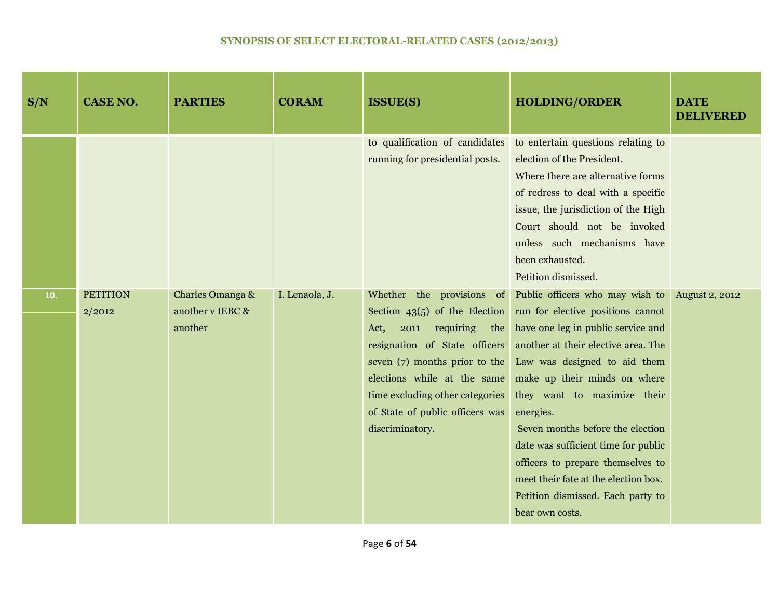| S/N | <b>CASE NO.</b>           | <b>PARTIES</b>                                  | <b>CORAM</b>   | <b>ISSUE(S)</b>                                                                                                                                                                                                           | <b>HOLDING/ORDER</b>                                                                                                                                                                                                                                                                                                                                                                                                                                                                                                                    | <b>DATE</b><br><b>DELIVERED</b> |
|-----|---------------------------|-------------------------------------------------|----------------|---------------------------------------------------------------------------------------------------------------------------------------------------------------------------------------------------------------------------|-----------------------------------------------------------------------------------------------------------------------------------------------------------------------------------------------------------------------------------------------------------------------------------------------------------------------------------------------------------------------------------------------------------------------------------------------------------------------------------------------------------------------------------------|---------------------------------|
|     |                           |                                                 |                | to qualification of candidates<br>running for presidential posts.                                                                                                                                                         | to entertain questions relating to<br>election of the President.<br>Where there are alternative forms<br>of redress to deal with a specific<br>issue, the jurisdiction of the High<br>Court should not be invoked<br>unless such mechanisms have<br>been exhausted.<br>Petition dismissed.                                                                                                                                                                                                                                              |                                 |
| 10. | <b>PETITION</b><br>2/2012 | Charles Omanga &<br>another v IEBC &<br>another | I. Lenaola, J. | requiring the<br>Act,<br>2011<br>resignation of State officers<br>seven $(7)$ months prior to the<br>elections while at the same<br>time excluding other categories<br>of State of public officers was<br>discriminatory. | Whether the provisions of Public officers who may wish to<br>Section $43(5)$ of the Election run for elective positions cannot<br>have one leg in public service and<br>another at their elective area. The<br>Law was designed to aid them<br>make up their minds on where<br>they want to maximize their<br>energies.<br>Seven months before the election<br>date was sufficient time for public<br>officers to prepare themselves to<br>meet their fate at the election box.<br>Petition dismissed. Each party to<br>bear own costs. | <b>August 2, 2012</b>           |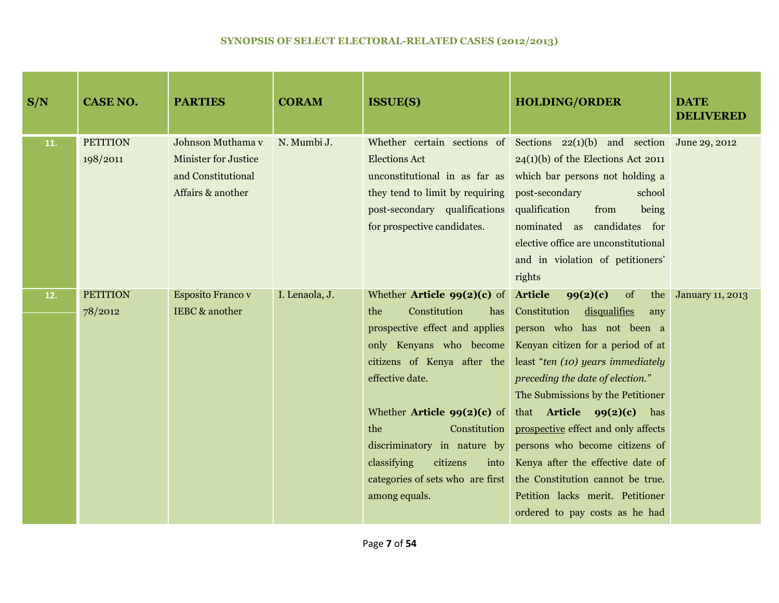| S/N | <b>CASE NO.</b>             | <b>PARTIES</b>                                                                              | <b>CORAM</b>   | <b>ISSUE(S)</b>                                                                                                                                                                                                                                                                                                                                                                  | <b>HOLDING/ORDER</b>                                                                                                                                                                                                                                                                                                                                                                                                                                                                                                     | <b>DATE</b><br><b>DELIVERED</b> |
|-----|-----------------------------|---------------------------------------------------------------------------------------------|----------------|----------------------------------------------------------------------------------------------------------------------------------------------------------------------------------------------------------------------------------------------------------------------------------------------------------------------------------------------------------------------------------|--------------------------------------------------------------------------------------------------------------------------------------------------------------------------------------------------------------------------------------------------------------------------------------------------------------------------------------------------------------------------------------------------------------------------------------------------------------------------------------------------------------------------|---------------------------------|
| 11. | <b>PETITION</b><br>198/2011 | Johnson Muthama v<br><b>Minister for Justice</b><br>and Constitutional<br>Affairs & another | N. Mumbi J.    | <b>Elections Act</b><br>unconstitutional in as far as<br>they tend to limit by requiring<br>post-secondary qualifications<br>for prospective candidates.                                                                                                                                                                                                                         | Whether certain sections of Sections $22(1)(b)$ and section June 29, 2012<br>$24(1)(b)$ of the Elections Act 2011<br>which bar persons not holding a<br>post-secondary<br>school<br>qualification<br>from<br>being<br>nominated as candidates for<br>elective office are unconstitutional<br>and in violation of petitioners'<br>rights                                                                                                                                                                                  |                                 |
| 12. | <b>PETITION</b><br>78/2012  | <b>Esposito Franco v</b><br><b>IEBC</b> & another                                           | I. Lenaola, J. | Whether <b>Article 99(2)(c)</b> of<br>Constitution<br>the<br>has<br>prospective effect and applies<br>only Kenyans who become<br>citizens of Kenya after the<br>effective date.<br>Whether <b>Article <math>99(2)(c)</math></b> of<br>the<br>Constitution<br>discriminatory in nature by<br>classifying<br>citizens<br>into<br>categories of sets who are first<br>among equals. | <b>Article</b><br>99(2)(c)<br>of<br>the<br>Constitution<br>disqualifies<br>any<br>person who has not been a<br>Kenyan citizen for a period of at<br>least "ten (10) years immediately<br>preceding the date of election."<br>The Submissions by the Petitioner<br>that Article $99(2)(c)$<br>has<br>prospective effect and only affects<br>persons who become citizens of<br>Kenya after the effective date of<br>the Constitution cannot be true.<br>Petition lacks merit. Petitioner<br>ordered to pay costs as he had | <b>January 11, 2013</b>         |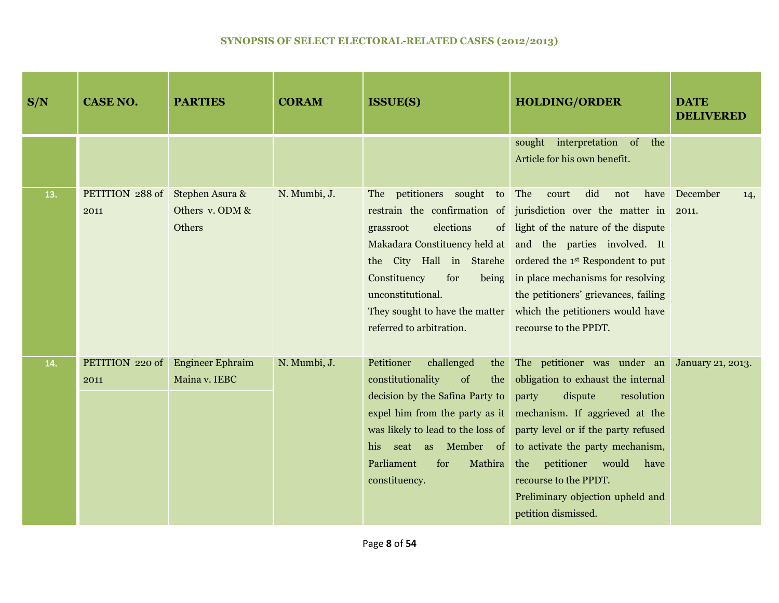| S/N | <b>CASE NO.</b>                         | <b>PARTIES</b>                           | <b>CORAM</b> | <b>ISSUE(S)</b>                                                                                                                                                                                                                                       | <b>HOLDING/ORDER</b>                                                                                                                                                                                                                                                                                                                                                                                               | <b>DATE</b><br><b>DELIVERED</b> |
|-----|-----------------------------------------|------------------------------------------|--------------|-------------------------------------------------------------------------------------------------------------------------------------------------------------------------------------------------------------------------------------------------------|--------------------------------------------------------------------------------------------------------------------------------------------------------------------------------------------------------------------------------------------------------------------------------------------------------------------------------------------------------------------------------------------------------------------|---------------------------------|
|     |                                         |                                          |              |                                                                                                                                                                                                                                                       | sought interpretation of<br>the<br>Article for his own benefit.                                                                                                                                                                                                                                                                                                                                                    |                                 |
| 13. | PETITION 288 of Stephen Asura &<br>2011 | Others v. ODM &<br>Others                | N. Mumbi, J. | The petitioners sought<br>elections<br>grassroot<br>Constituency<br>for<br>being<br>unconstitutional.<br>They sought to have the matter<br>referred to arbitration.                                                                                   | did<br>to The<br>court<br>not<br>restrain the confirmation of jurisdiction over the matter in 2011.<br>of light of the nature of the dispute<br>Makadara Constituency held at and the parties involved. It<br>the City Hall in Starehe ordered the 1st Respondent to put<br>in place mechanisms for resolving<br>the petitioners' grievances, failing<br>which the petitioners would have<br>recourse to the PPDT. | have December<br>14,            |
| 14. | PETITION 220 of<br>2011                 | <b>Engineer Ephraim</b><br>Maina v. IEBC | N. Mumbi, J. | Petitioner<br>challenged<br>the<br>constitutionality<br>of<br>the<br>decision by the Safina Party to<br>expel him from the party as it<br>was likely to lead to the loss of<br>his seat as Member of<br>Parliament<br>for<br>Mathira<br>constituency. | The petitioner was under an January 21, 2013.<br>obligation to exhaust the internal<br>party<br>dispute<br>resolution<br>mechanism. If aggrieved at the<br>party level or if the party refused<br>to activate the party mechanism,<br>the petitioner would<br>have<br>recourse to the PPDT.<br>Preliminary objection upheld and<br>petition dismissed.                                                             |                                 |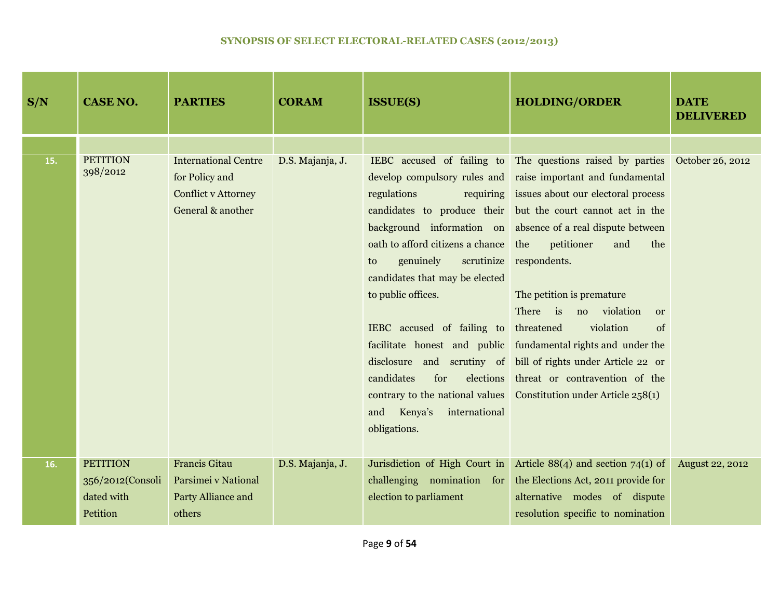| S/N | <b>CASE NO.</b>             | <b>PARTIES</b>                                                                                   | <b>CORAM</b>     | <b>ISSUE(S)</b>                                                                                                                                                                                                                                                                                                                                                                    | <b>HOLDING/ORDER</b>                                                                                                                                                                                                                                                                                                                                                                                                                                                                                                                                                                                         | <b>DATE</b><br><b>DELIVERED</b> |
|-----|-----------------------------|--------------------------------------------------------------------------------------------------|------------------|------------------------------------------------------------------------------------------------------------------------------------------------------------------------------------------------------------------------------------------------------------------------------------------------------------------------------------------------------------------------------------|--------------------------------------------------------------------------------------------------------------------------------------------------------------------------------------------------------------------------------------------------------------------------------------------------------------------------------------------------------------------------------------------------------------------------------------------------------------------------------------------------------------------------------------------------------------------------------------------------------------|---------------------------------|
|     |                             |                                                                                                  |                  |                                                                                                                                                                                                                                                                                                                                                                                    |                                                                                                                                                                                                                                                                                                                                                                                                                                                                                                                                                                                                              |                                 |
| 15. | <b>PETITION</b><br>398/2012 | <b>International Centre</b><br>for Policy and<br><b>Conflict v Attorney</b><br>General & another | D.S. Majanja, J. | develop compulsory rules and<br>regulations<br>requiring<br>candidates to produce their<br>oath to afford citizens a chance<br>genuinely<br>scrutinize<br>to<br>candidates that may be elected<br>to public offices.<br>IEBC accused of failing to threatened<br>candidates<br>for<br>elections<br>contrary to the national values<br>and Kenya's<br>international<br>obligations. | IEBC accused of failing to The questions raised by parties October 26, 2012<br>raise important and fundamental<br>issues about our electoral process<br>but the court cannot act in the<br>background information on absence of a real dispute between<br>petitioner<br>the<br>and<br>the<br>respondents.<br>The petition is premature<br>There is no violation<br><sub>or</sub><br>violation<br>of<br>facilitate honest and public fundamental rights and under the<br>disclosure and scrutiny of bill of rights under Article 22 or<br>threat or contravention of the<br>Constitution under Article 258(1) |                                 |
| 16. | <b>PETITION</b>             | <b>Francis Gitau</b>                                                                             | D.S. Majanja, J. | Jurisdiction of High Court in                                                                                                                                                                                                                                                                                                                                                      | Article $88(4)$ and section 74(1) of                                                                                                                                                                                                                                                                                                                                                                                                                                                                                                                                                                         | <b>August 22, 2012</b>          |
|     | 356/2012(Consoli            | Parsimei v National                                                                              |                  | challenging nomination for                                                                                                                                                                                                                                                                                                                                                         | the Elections Act, 2011 provide for                                                                                                                                                                                                                                                                                                                                                                                                                                                                                                                                                                          |                                 |
|     | dated with                  | Party Alliance and                                                                               |                  | election to parliament                                                                                                                                                                                                                                                                                                                                                             | alternative modes of dispute                                                                                                                                                                                                                                                                                                                                                                                                                                                                                                                                                                                 |                                 |
|     | Petition                    | others                                                                                           |                  |                                                                                                                                                                                                                                                                                                                                                                                    | resolution specific to nomination                                                                                                                                                                                                                                                                                                                                                                                                                                                                                                                                                                            |                                 |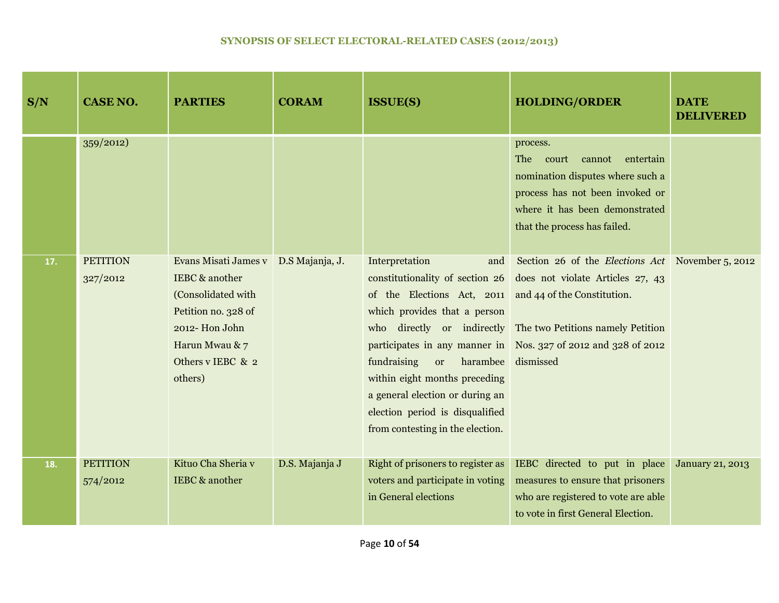| S/N | <b>CASE NO.</b>             | <b>PARTIES</b>                                                                                                                                         | <b>CORAM</b>    | <b>ISSUE(S)</b>                                                                                                                                                                                                                                                                                                                           | <b>HOLDING/ORDER</b>                                                                                                                                                                                                                       | <b>DATE</b><br><b>DELIVERED</b> |
|-----|-----------------------------|--------------------------------------------------------------------------------------------------------------------------------------------------------|-----------------|-------------------------------------------------------------------------------------------------------------------------------------------------------------------------------------------------------------------------------------------------------------------------------------------------------------------------------------------|--------------------------------------------------------------------------------------------------------------------------------------------------------------------------------------------------------------------------------------------|---------------------------------|
|     | 359/2012                    |                                                                                                                                                        |                 |                                                                                                                                                                                                                                                                                                                                           | process.<br><b>The</b><br>court<br>entertain<br>cannot<br>nomination disputes where such a<br>process has not been invoked or<br>where it has been demonstrated<br>that the process has failed.                                            |                                 |
| 17. | <b>PETITION</b><br>327/2012 | Evans Misati James v<br>IEBC & another<br>(Consolidated with<br>Petition no. 328 of<br>2012-Hon John<br>Harun Mwau & 7<br>Others v IEBC & 2<br>others) | D.S Majanja, J. | Interpretation<br>and<br>constitutionality of section 26<br>of the Elections Act, 2011 and 44 of the Constitution.<br>which provides that a person<br>harambee<br>fundraising<br><sub>or</sub><br>within eight months preceding<br>a general election or during an<br>election period is disqualified<br>from contesting in the election. | Section 26 of the <i>Elections Act</i> November 5, 2012<br>does not violate Articles 27, 43<br>who directly or indirectly The two Petitions namely Petition<br>participates in any manner in Nos. 327 of 2012 and 328 of 2012<br>dismissed |                                 |
| 18. | <b>PETITION</b><br>574/2012 | Kituo Cha Sheria v<br>IEBC & another                                                                                                                   | D.S. Majanja J  | Right of prisoners to register as<br>voters and participate in voting<br>in General elections                                                                                                                                                                                                                                             | IEBC directed to put in place<br>measures to ensure that prisoners<br>who are registered to vote are able<br>to vote in first General Election.                                                                                            | <b>January 21, 2013</b>         |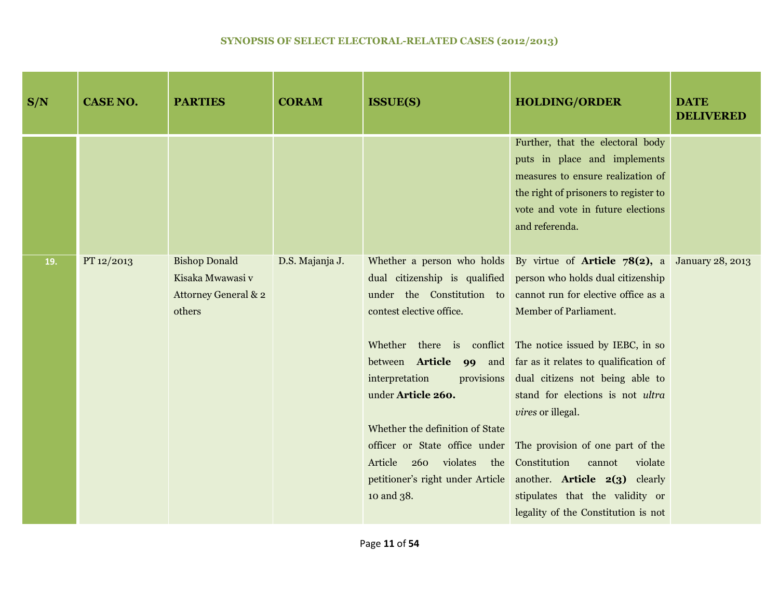| S/N | <b>CASE NO.</b> | <b>PARTIES</b>                                                             | <b>CORAM</b>    | <b>ISSUE(S)</b>                                                                                                                              | <b>HOLDING/ORDER</b>                                                                                                                                                                                                                                                                                                                                                                                                                                                                                                                                                                                                                                                                                                                              | <b>DATE</b><br><b>DELIVERED</b> |
|-----|-----------------|----------------------------------------------------------------------------|-----------------|----------------------------------------------------------------------------------------------------------------------------------------------|---------------------------------------------------------------------------------------------------------------------------------------------------------------------------------------------------------------------------------------------------------------------------------------------------------------------------------------------------------------------------------------------------------------------------------------------------------------------------------------------------------------------------------------------------------------------------------------------------------------------------------------------------------------------------------------------------------------------------------------------------|---------------------------------|
|     |                 |                                                                            |                 |                                                                                                                                              | Further, that the electoral body<br>puts in place and implements<br>measures to ensure realization of<br>the right of prisoners to register to<br>vote and vote in future elections<br>and referenda.                                                                                                                                                                                                                                                                                                                                                                                                                                                                                                                                             |                                 |
| 19. | PT 12/2013      | <b>Bishop Donald</b><br>Kisaka Mwawasi v<br>Attorney General & 2<br>others | D.S. Majanja J. | contest elective office.<br>interpretation<br>under Article 260.<br>Whether the definition of State<br>260 violates<br>Article<br>10 and 38. | Whether a person who holds By virtue of <b>Article 78(2)</b> , a January 28, 2013<br>dual citizenship is qualified person who holds dual citizenship<br>under the Constitution to cannot run for elective office as a<br>Member of Parliament.<br>Whether there is conflict The notice issued by IEBC, in so<br>between <b>Article</b> 99 and far as it relates to qualification of<br>provisions dual citizens not being able to<br>stand for elections is not ultra<br>vires or illegal.<br>officer or State office under The provision of one part of the<br>the Constitution<br>violate<br>cannot<br>petitioner's right under Article another. Article 2(3) clearly<br>stipulates that the validity or<br>legality of the Constitution is not |                                 |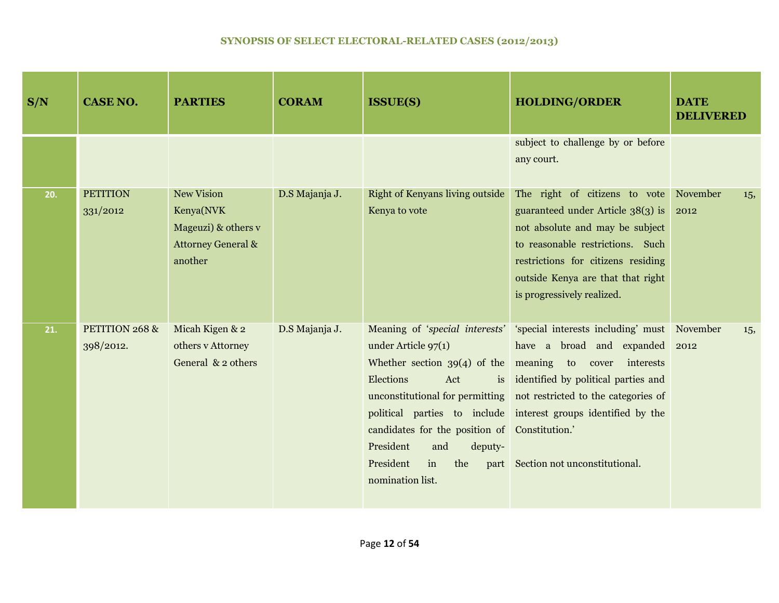| S/N | <b>CASE NO.</b>             | <b>PARTIES</b>                                                                                    | <b>CORAM</b>   | <b>ISSUE(S)</b>                                                                                                                                                                                                                  | <b>HOLDING/ORDER</b>                                                                                                                                                                                                                                                                                                                                | <b>DATE</b><br><b>DELIVERED</b> |
|-----|-----------------------------|---------------------------------------------------------------------------------------------------|----------------|----------------------------------------------------------------------------------------------------------------------------------------------------------------------------------------------------------------------------------|-----------------------------------------------------------------------------------------------------------------------------------------------------------------------------------------------------------------------------------------------------------------------------------------------------------------------------------------------------|---------------------------------|
|     |                             |                                                                                                   |                |                                                                                                                                                                                                                                  | subject to challenge by or before<br>any court.                                                                                                                                                                                                                                                                                                     |                                 |
| 20. | <b>PETITION</b><br>331/2012 | <b>New Vision</b><br>Kenya(NVK<br>Mageuzi) & others v<br><b>Attorney General &amp;</b><br>another | D.S Majanja J. | <b>Right of Kenyans living outside</b><br>Kenya to vote                                                                                                                                                                          | The right of citizens to vote<br>guaranteed under Article 38(3) is<br>not absolute and may be subject<br>to reasonable restrictions. Such<br>restrictions for citizens residing<br>outside Kenya are that that right<br>is progressively realized.                                                                                                  | November<br>15,<br>2012         |
| 21. | PETITION 268 &<br>398/2012. | Micah Kigen & 2<br>others v Attorney<br>General $& 2$ others                                      | D.S Majanja J. | under Article $97(1)$<br>Whether section $39(4)$ of the meaning to cover<br>Elections<br>Act<br>is<br>candidates for the position of Constitution.'<br>President<br>and<br>deputy-<br>President<br>in<br>the<br>nomination list. | Meaning of 'special interests'   'special interests including' must   November<br>have a broad and expanded 2012<br>interests<br>identified by political parties and<br>unconstitutional for permitting not restricted to the categories of<br>political parties to include interest groups identified by the<br>part Section not unconstitutional. | 15,                             |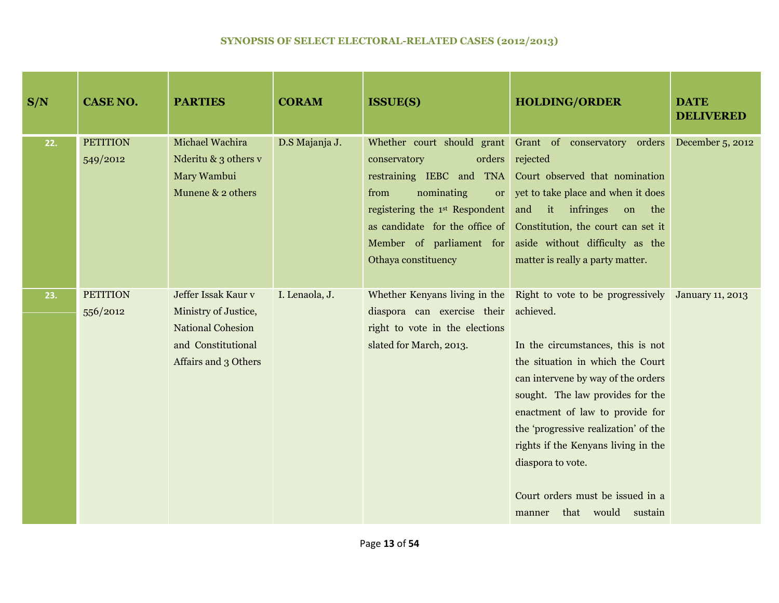| S/N | <b>CASE NO.</b>             | <b>PARTIES</b>                                                                                                        | <b>CORAM</b>   | <b>ISSUE(S)</b>                                                                                                                                                                                                                                            | <b>HOLDING/ORDER</b>                                                                                                                                                                                                                                                                                                                                                                                                          | <b>DATE</b><br><b>DELIVERED</b> |
|-----|-----------------------------|-----------------------------------------------------------------------------------------------------------------------|----------------|------------------------------------------------------------------------------------------------------------------------------------------------------------------------------------------------------------------------------------------------------------|-------------------------------------------------------------------------------------------------------------------------------------------------------------------------------------------------------------------------------------------------------------------------------------------------------------------------------------------------------------------------------------------------------------------------------|---------------------------------|
| 22. | <b>PETITION</b><br>549/2012 | Michael Wachira<br>Nderitu & 3 others v<br>Mary Wambui<br>Munene & 2 others                                           | D.S Majanja J. | Whether court should grant<br>orders<br>conservatory<br>restraining IEBC and TNA<br>nominating<br>from<br><sub>or</sub><br>registering the 1 <sup>st</sup> Respondent<br>as candidate for the office of<br>Member of parliament for<br>Othaya constituency | Grant of conservatory orders<br>rejected<br>Court observed that nomination<br>yet to take place and when it does<br>and it infringes<br>on the<br>Constitution, the court can set it<br>aside without difficulty as the<br>matter is really a party matter.                                                                                                                                                                   | December 5, 2012                |
| 23. | <b>PETITION</b><br>556/2012 | Jeffer Issak Kaur v<br>Ministry of Justice,<br><b>National Cohesion</b><br>and Constitutional<br>Affairs and 3 Others | I. Lenaola, J. | Whether Kenyans living in the<br>diaspora can exercise their<br>right to vote in the elections<br>slated for March, 2013.                                                                                                                                  | Right to vote to be progressively January 11, 2013<br>achieved.<br>In the circumstances, this is not<br>the situation in which the Court<br>can intervene by way of the orders<br>sought. The law provides for the<br>enactment of law to provide for<br>the 'progressive realization' of the<br>rights if the Kenyans living in the<br>diaspora to vote.<br>Court orders must be issued in a<br>that would sustain<br>manner |                                 |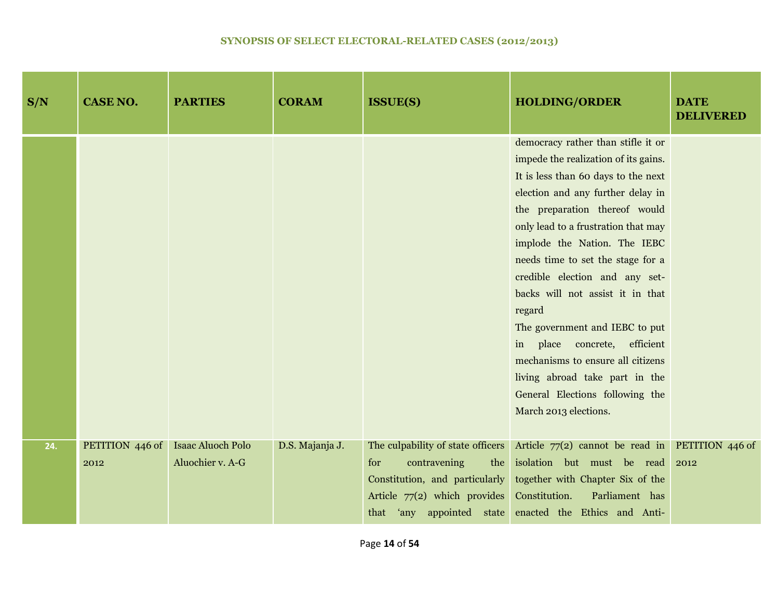| S/N | <b>CASE NO.</b>         | <b>PARTIES</b>                               | <b>CORAM</b>    | <b>ISSUE(S)</b>                                                                                                              | <b>HOLDING/ORDER</b>                                                                                                                                                                                                                                                                                                                                                                                                                                                                                                                                                                     | <b>DATE</b><br><b>DELIVERED</b> |
|-----|-------------------------|----------------------------------------------|-----------------|------------------------------------------------------------------------------------------------------------------------------|------------------------------------------------------------------------------------------------------------------------------------------------------------------------------------------------------------------------------------------------------------------------------------------------------------------------------------------------------------------------------------------------------------------------------------------------------------------------------------------------------------------------------------------------------------------------------------------|---------------------------------|
|     |                         |                                              |                 |                                                                                                                              | democracy rather than stifle it or<br>impede the realization of its gains.<br>It is less than 60 days to the next<br>election and any further delay in<br>the preparation thereof would<br>only lead to a frustration that may<br>implode the Nation. The IEBC<br>needs time to set the stage for a<br>credible election and any set-<br>backs will not assist it in that<br>regard<br>The government and IEBC to put<br>in place concrete, efficient<br>mechanisms to ensure all citizens<br>living abroad take part in the<br>General Elections following the<br>March 2013 elections. |                                 |
| 24. | PETITION 446 of<br>2012 | <b>Isaac Aluoch Polo</b><br>Aluochier v. A-G | D.S. Majanja J. | The culpability of state officers<br>for<br>contravening<br>Constitution, and particularly<br>Article $77(2)$ which provides | Article $77(2)$ cannot be read in <b>PETITION</b> 446 of<br>the isolation but must be read<br>together with Chapter Six of the<br>Parliament has<br>Constitution.<br>that 'any appointed state enacted the Ethics and Anti-                                                                                                                                                                                                                                                                                                                                                              | 2012                            |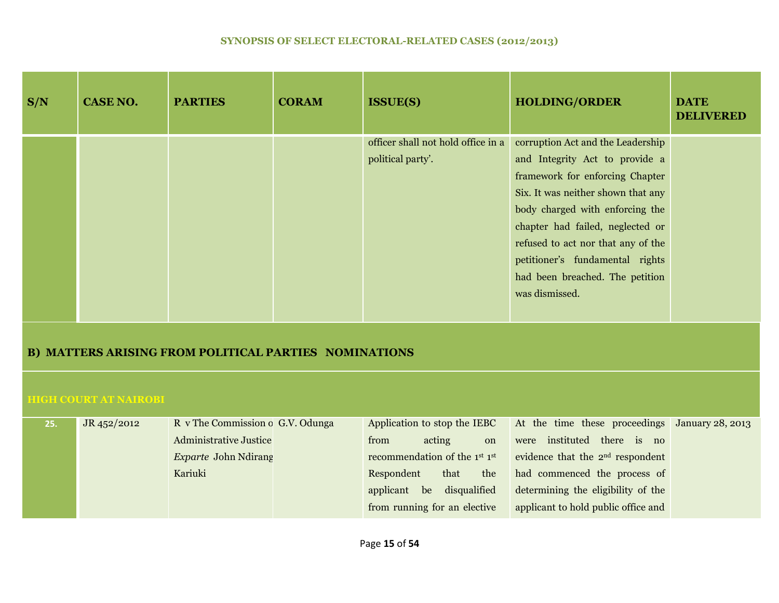| S/N | <b>CASE NO.</b> | <b>PARTIES</b> | <b>CORAM</b> | <b>ISSUE(S)</b>                    | <b>HOLDING/ORDER</b>               | <b>DATE</b><br><b>DELIVERED</b> |
|-----|-----------------|----------------|--------------|------------------------------------|------------------------------------|---------------------------------|
|     |                 |                |              | officer shall not hold office in a | corruption Act and the Leadership  |                                 |
|     |                 |                |              | political party'.                  | and Integrity Act to provide a     |                                 |
|     |                 |                |              |                                    | framework for enforcing Chapter    |                                 |
|     |                 |                |              |                                    | Six. It was neither shown that any |                                 |
|     |                 |                |              |                                    | body charged with enforcing the    |                                 |
|     |                 |                |              |                                    | chapter had failed, neglected or   |                                 |
|     |                 |                |              |                                    | refused to act nor that any of the |                                 |
|     |                 |                |              |                                    | petitioner's fundamental rights    |                                 |
|     |                 |                |              |                                    | had been breached. The petition    |                                 |
|     |                 |                |              |                                    | was dismissed.                     |                                 |
|     |                 |                |              |                                    |                                    |                                 |
|     |                 |                |              |                                    |                                    |                                 |

# **B) MATTERS ARISING FROM POLITICAL PARTIES NOMINATIONS**

#### **HIGH COURT AT NAIROBI**

| 25. | JR 452/2012 | R v The Commission o G.V. Odunga | Application to stop the IEBC                          | At the time these proceedings January 28, 2013 |  |
|-----|-------------|----------------------------------|-------------------------------------------------------|------------------------------------------------|--|
|     |             | <b>Administrative Justice</b>    | acting<br>from<br>on                                  | there is no<br>were instituted                 |  |
|     |             | <i>Exparte</i> John Ndirang      | recommendation of the 1 <sup>st</sup> 1 <sup>st</sup> | evidence that the 2 <sup>nd</sup> respondent   |  |
|     |             | Kariuki                          | that<br>the<br>Respondent                             | had commenced the process of                   |  |
|     |             |                                  | applicant be disqualified                             | determining the eligibility of the             |  |
|     |             |                                  | from running for an elective                          | applicant to hold public office and            |  |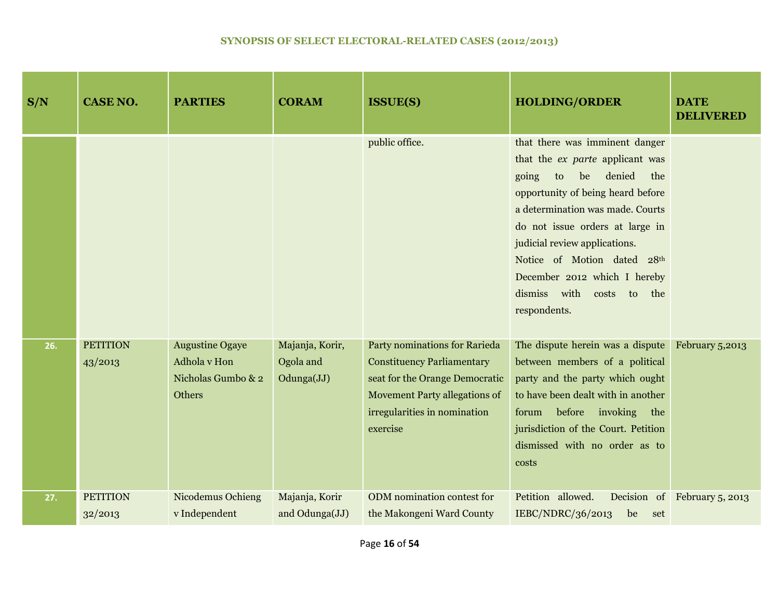| S/N | <b>CASE NO.</b>            | <b>PARTIES</b>                                                         | <b>CORAM</b>                               | <b>ISSUE(S)</b>                                                                                                                                                                          | <b>HOLDING/ORDER</b>                                                                                                                                                                                                                                                                                                                                                          | <b>DATE</b><br><b>DELIVERED</b> |
|-----|----------------------------|------------------------------------------------------------------------|--------------------------------------------|------------------------------------------------------------------------------------------------------------------------------------------------------------------------------------------|-------------------------------------------------------------------------------------------------------------------------------------------------------------------------------------------------------------------------------------------------------------------------------------------------------------------------------------------------------------------------------|---------------------------------|
|     |                            |                                                                        |                                            | public office.                                                                                                                                                                           | that there was imminent danger<br>that the <i>ex</i> parte applicant was<br>denied<br>be<br>the<br>going<br>to<br>opportunity of being heard before<br>a determination was made. Courts<br>do not issue orders at large in<br>judicial review applications.<br>Notice of Motion dated 28th<br>December 2012 which I hereby<br>dismiss<br>with<br>costs to the<br>respondents. |                                 |
| 26. | <b>PETITION</b><br>43/2013 | <b>Augustine Ogaye</b><br>Adhola v Hon<br>Nicholas Gumbo & 2<br>Others | Majanja, Korir,<br>Ogola and<br>Odunga(JJ) | Party nominations for Rarieda<br><b>Constituency Parliamentary</b><br>seat for the Orange Democratic<br><b>Movement Party allegations of</b><br>irregularities in nomination<br>exercise | The dispute herein was a dispute<br>between members of a political<br>party and the party which ought<br>to have been dealt with in another<br>before invoking the<br>forum<br>jurisdiction of the Court. Petition<br>dismissed with no order as to<br>costs                                                                                                                  | February 5,2013                 |
| 27. | <b>PETITION</b><br>32/2013 | <b>Nicodemus Ochieng</b><br>v Independent                              | Majanja, Korir<br>and Odunga(JJ)           | ODM nomination contest for<br>the Makongeni Ward County                                                                                                                                  | Petition allowed.<br>IEBC/NDRC/36/2013<br>be<br>set                                                                                                                                                                                                                                                                                                                           | Decision of February 5, 2013    |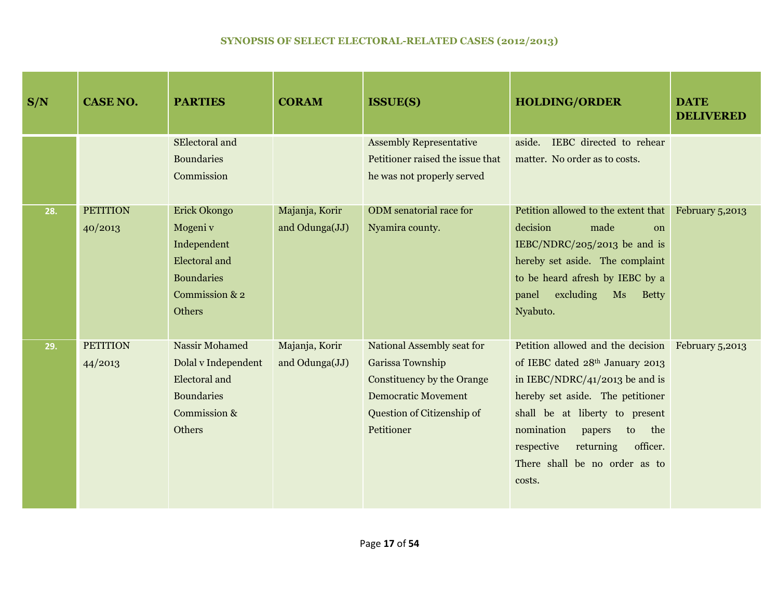| S/N | <b>CASE NO.</b>            | <b>PARTIES</b>                                                                                               | <b>CORAM</b>                     | <b>ISSUE(S)</b>                                                                                                                                        | <b>HOLDING/ORDER</b>                                                                                                                                                                                                                                                                                                | <b>DATE</b><br><b>DELIVERED</b> |
|-----|----------------------------|--------------------------------------------------------------------------------------------------------------|----------------------------------|--------------------------------------------------------------------------------------------------------------------------------------------------------|---------------------------------------------------------------------------------------------------------------------------------------------------------------------------------------------------------------------------------------------------------------------------------------------------------------------|---------------------------------|
|     |                            | SElectoral and<br><b>Boundaries</b><br>Commission                                                            |                                  | <b>Assembly Representative</b><br>Petitioner raised the issue that<br>he was not properly served                                                       | IEBC directed to rehear<br>aside.<br>matter. No order as to costs.                                                                                                                                                                                                                                                  |                                 |
| 28. | <b>PETITION</b><br>40/2013 | Erick Okongo<br>Mogeni v<br>Independent<br>Electoral and<br><b>Boundaries</b><br>Commission & 2<br>Others    | Majanja, Korir<br>and Odunga(JJ) | ODM senatorial race for<br>Nyamira county.                                                                                                             | Petition allowed to the extent that<br>decision<br>made<br>$\Omega$<br>IEBC/NDRC/205/2013 be and is<br>hereby set aside. The complaint<br>to be heard afresh by IEBC by a<br>excluding<br>panel<br>Ms<br><b>Betty</b><br>Nyabuto.                                                                                   | February 5,2013                 |
| 29. | <b>PETITION</b><br>44/2013 | <b>Nassir Mohamed</b><br>Dolal v Independent<br>Electoral and<br><b>Boundaries</b><br>Commission &<br>Others | Majanja, Korir<br>and Odunga(JJ) | National Assembly seat for<br>Garissa Township<br>Constituency by the Orange<br><b>Democratic Movement</b><br>Question of Citizenship of<br>Petitioner | Petition allowed and the decision February 5,2013<br>of IEBC dated 28th January 2013<br>in IEBC/NDRC/41/2013 be and is<br>hereby set aside. The petitioner<br>shall be at liberty to present<br>nomination<br>the<br>papers<br>to<br>officer.<br>respective<br>returning<br>There shall be no order as to<br>costs. |                                 |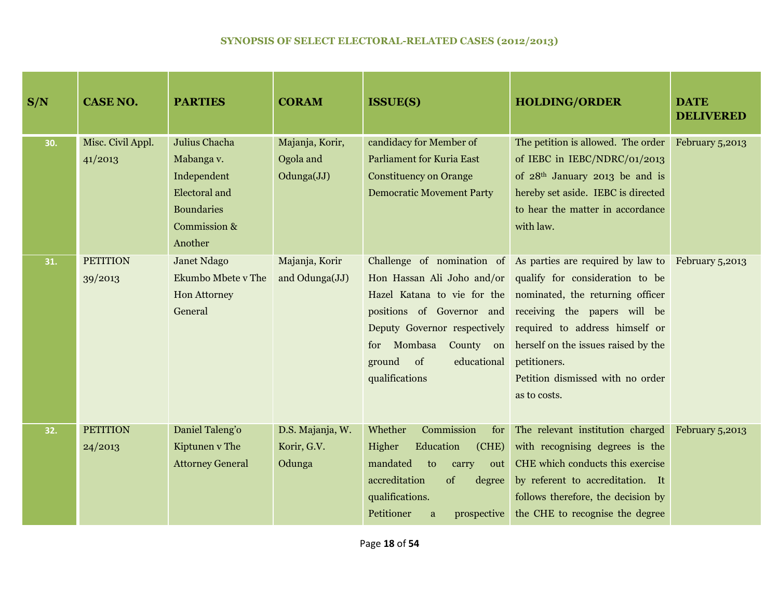| S/N | <b>CASE NO.</b>              | <b>PARTIES</b>                                                                                              | <b>CORAM</b>                               | <b>ISSUE(S)</b>                                                                                                                                                                      | <b>HOLDING/ORDER</b>                                                                                                                                                                                                                                                                                                                                                                                              | <b>DATE</b><br><b>DELIVERED</b> |
|-----|------------------------------|-------------------------------------------------------------------------------------------------------------|--------------------------------------------|--------------------------------------------------------------------------------------------------------------------------------------------------------------------------------------|-------------------------------------------------------------------------------------------------------------------------------------------------------------------------------------------------------------------------------------------------------------------------------------------------------------------------------------------------------------------------------------------------------------------|---------------------------------|
| 30. | Misc. Civil Appl.<br>41/2013 | Julius Chacha<br>Mabanga v.<br>Independent<br>Electoral and<br><b>Boundaries</b><br>Commission &<br>Another | Majanja, Korir,<br>Ogola and<br>Odunga(JJ) | candidacy for Member of<br><b>Parliament for Kuria East</b><br><b>Constituency on Orange</b><br><b>Democratic Movement Party</b>                                                     | The petition is allowed. The order<br>of IEBC in IEBC/NDRC/01/2013<br>of $28th$ January 2013 be and is<br>hereby set aside. IEBC is directed<br>to hear the matter in accordance<br>with law.                                                                                                                                                                                                                     | February 5,2013                 |
| 31. | <b>PETITION</b><br>39/2013   | <b>Janet Ndago</b><br>Ekumbo Mbete v The<br>Hon Attorney<br>General                                         | Majanja, Korir<br>and Odunga(JJ)           | Deputy Governor respectively<br>Mombasa<br>County on<br>for<br>ground<br>of<br>educational<br>qualifications                                                                         | Challenge of nomination of As parties are required by law to February 5,2013<br>Hon Hassan Ali Joho and/or qualify for consideration to be<br>Hazel Katana to vie for the nominated, the returning officer<br>positions of Governor and receiving the papers will be<br>required to address himself or<br>herself on the issues raised by the<br>petitioners.<br>Petition dismissed with no order<br>as to costs. |                                 |
| 32. | <b>PETITION</b><br>24/2013   | Daniel Taleng'o<br>Kiptunen v The<br><b>Attorney General</b>                                                | D.S. Majanja, W.<br>Korir, G.V.<br>Odunga  | Whether<br>Commission<br>for<br>Education<br>Higher<br>(CHE)<br>mandated<br>to<br>carry<br>out<br>accreditation<br>of<br>degree<br>qualifications.<br>Petitioner<br>prospective<br>a | The relevant institution charged<br>with recognising degrees is the<br>CHE which conducts this exercise<br>by referent to accreditation. It<br>follows therefore, the decision by<br>the CHE to recognise the degree                                                                                                                                                                                              | February 5,2013                 |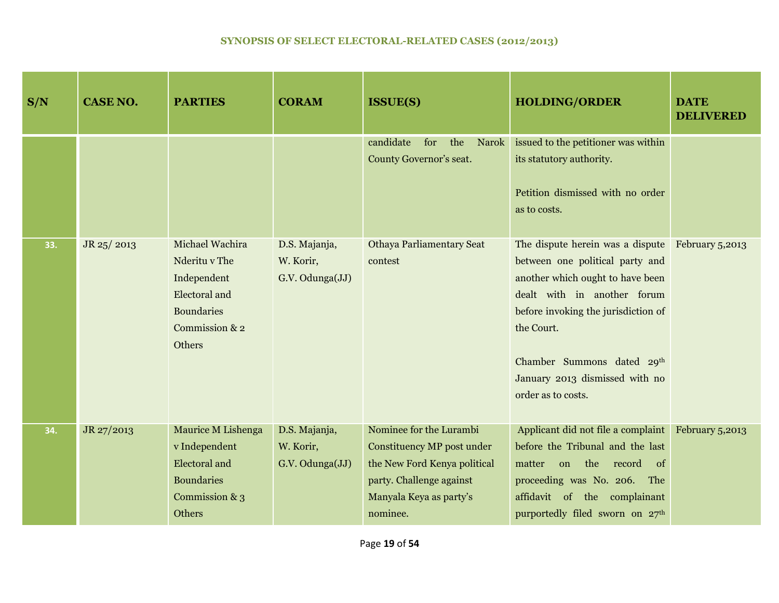| S/N | <b>CASE NO.</b> | <b>PARTIES</b>                                                                                                           | <b>CORAM</b>                                  | <b>ISSUE(S)</b>                                                                                                                                          | <b>HOLDING/ORDER</b>                                                                                                                                                                                                                                                              | <b>DATE</b><br><b>DELIVERED</b> |
|-----|-----------------|--------------------------------------------------------------------------------------------------------------------------|-----------------------------------------------|----------------------------------------------------------------------------------------------------------------------------------------------------------|-----------------------------------------------------------------------------------------------------------------------------------------------------------------------------------------------------------------------------------------------------------------------------------|---------------------------------|
|     |                 |                                                                                                                          |                                               | candidate<br>for<br>the<br>Narok<br>County Governor's seat.                                                                                              | issued to the petitioner was within<br>its statutory authority.<br>Petition dismissed with no order<br>as to costs.                                                                                                                                                               |                                 |
| 33. | JR 25/2013      | Michael Wachira<br>Nderitu v The<br>Independent<br><b>Electoral</b> and<br><b>Boundaries</b><br>Commission & 2<br>Others | D.S. Majanja,<br>W. Korir,<br>G.V. Odunga(JJ) | <b>Othaya Parliamentary Seat</b><br>contest                                                                                                              | The dispute herein was a dispute<br>between one political party and<br>another which ought to have been<br>dealt with in another forum<br>before invoking the jurisdiction of<br>the Court.<br>Chamber Summons dated 29th<br>January 2013 dismissed with no<br>order as to costs. | February 5,2013                 |
| 34. | JR 27/2013      | <b>Maurice M Lishenga</b><br>v Independent<br>Electoral and<br><b>Boundaries</b><br>Commission & 3<br>Others             | D.S. Majanja,<br>W. Korir,<br>G.V. Odunga(JJ) | Nominee for the Lurambi<br>Constituency MP post under<br>the New Ford Kenya political<br>party. Challenge against<br>Manyala Keya as party's<br>nominee. | Applicant did not file a complaint<br>before the Tribunal and the last<br>the record<br>matter<br>on<br>- of<br>proceeding was No. 206. The<br>affidavit of the complainant<br>purportedly filed sworn on 27th                                                                    | February 5,2013                 |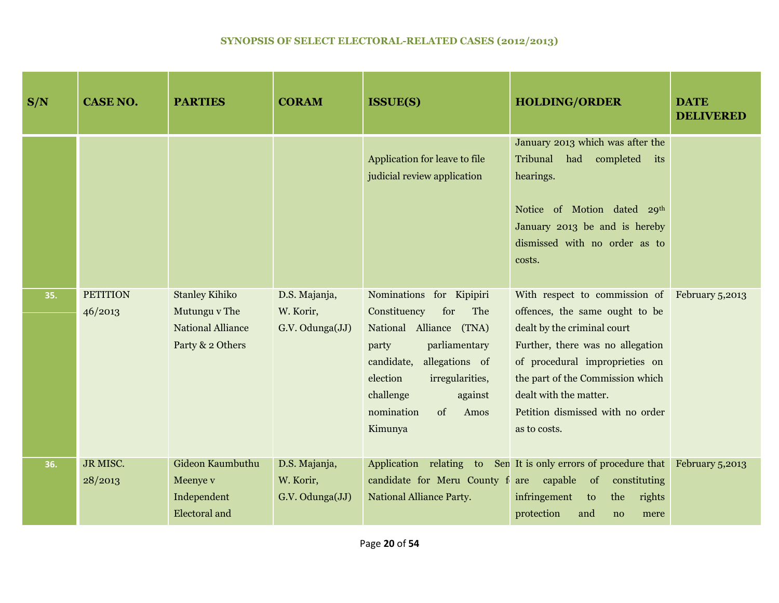| S/N | <b>CASE NO.</b>            | <b>PARTIES</b>                                                                         | <b>CORAM</b>                                  | <b>ISSUE(S)</b>                                                                                                                                                                                                                           | <b>HOLDING/ORDER</b>                                                                                                                                                                                                                                                                                   | <b>DATE</b><br><b>DELIVERED</b> |
|-----|----------------------------|----------------------------------------------------------------------------------------|-----------------------------------------------|-------------------------------------------------------------------------------------------------------------------------------------------------------------------------------------------------------------------------------------------|--------------------------------------------------------------------------------------------------------------------------------------------------------------------------------------------------------------------------------------------------------------------------------------------------------|---------------------------------|
|     |                            |                                                                                        |                                               | Application for leave to file<br>judicial review application                                                                                                                                                                              | January 2013 which was after the<br>Tribunal<br>had completed its<br>hearings.<br>Notice of Motion dated 29th<br>January 2013 be and is hereby<br>dismissed with no order as to<br>costs.                                                                                                              |                                 |
| 35. | <b>PETITION</b><br>46/2013 | <b>Stanley Kihiko</b><br>Mutungu v The<br><b>National Alliance</b><br>Party & 2 Others | D.S. Majanja,<br>W. Korir,<br>G.V. Odunga(JJ) | Nominations for Kipipiri<br>Constituency<br>for<br>The<br>National Alliance (TNA)<br>parliamentary<br>party<br>allegations of<br>candidate,<br>election<br>irregularities,<br>challenge<br>against<br>nomination<br>of<br>Amos<br>Kimunya | With respect to commission of February 5,2013<br>offences, the same ought to be<br>dealt by the criminal court<br>Further, there was no allegation<br>of procedural improprieties on<br>the part of the Commission which<br>dealt with the matter.<br>Petition dismissed with no order<br>as to costs. |                                 |
| 36. | JR MISC.<br>28/2013        | Gideon Kaumbuthu<br>Meenye v<br>Independent<br><b>Electoral</b> and                    | D.S. Majanja,<br>W. Korir,<br>G.V. Odunga(JJ) | <b>National Alliance Party.</b>                                                                                                                                                                                                           | Application relating to Sen It is only errors of procedure that<br>candidate for Meru County f are capable of constituting<br>infringement<br>the<br>rights<br>to<br>protection<br>and<br>no<br>mere                                                                                                   | February 5,2013                 |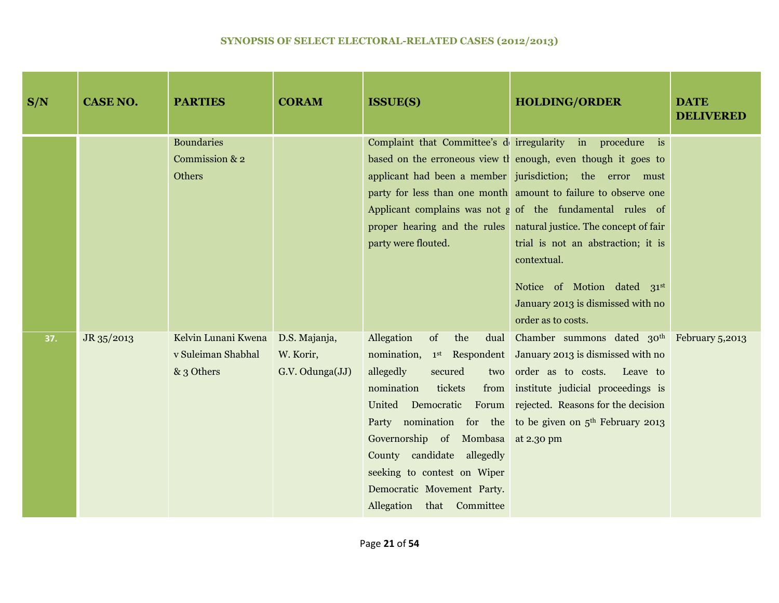| S/N | <b>CASE NO.</b> | <b>PARTIES</b>                                          | <b>CORAM</b>                                  | <b>ISSUE(S)</b>                                                                                                                                                                                                                                | <b>HOLDING/ORDER</b>                                                                                                                                                                                                                                                                                                                                                                                                                                                                                                 | <b>DATE</b><br><b>DELIVERED</b> |
|-----|-----------------|---------------------------------------------------------|-----------------------------------------------|------------------------------------------------------------------------------------------------------------------------------------------------------------------------------------------------------------------------------------------------|----------------------------------------------------------------------------------------------------------------------------------------------------------------------------------------------------------------------------------------------------------------------------------------------------------------------------------------------------------------------------------------------------------------------------------------------------------------------------------------------------------------------|---------------------------------|
|     |                 | <b>Boundaries</b><br>Commission & 2<br>Others           |                                               | party were flouted.                                                                                                                                                                                                                            | Complaint that Committee's deirregularity in procedure is<br>based on the erroneous view the enough, even though it goes to<br>applicant had been a member jurisdiction; the error must<br>party for less than one month amount to failure to observe one<br>Applicant complains was not g of the fundamental rules of<br>proper hearing and the rules natural justice. The concept of fair<br>trial is not an abstraction; it is<br>contextual.<br>Notice of Motion dated 31st<br>January 2013 is dismissed with no |                                 |
| 37. | JR 35/2013      | Kelvin Lunani Kwena<br>v Suleiman Shabhal<br>& 3 Others | D.S. Majanja,<br>W. Korir,<br>G.V. Odunga(JJ) | Allegation<br>of<br>the<br>dual<br>allegedly<br>secured<br>nomination<br>tickets<br>Governorship of Mombasa at 2.30 pm<br>County candidate allegedly<br>seeking to contest on Wiper<br>Democratic Movement Party.<br>Allegation that Committee | order as to costs.<br>Chamber summons dated 30 <sup>th</sup> February 5,2013<br>nomination, 1 <sup>st</sup> Respondent January 2013 is dismissed with no<br>two order as to costs. Leave to<br>from institute judicial proceedings is<br>United Democratic Forum rejected. Reasons for the decision<br>Party nomination for the to be given on $5th$ February 2013                                                                                                                                                   |                                 |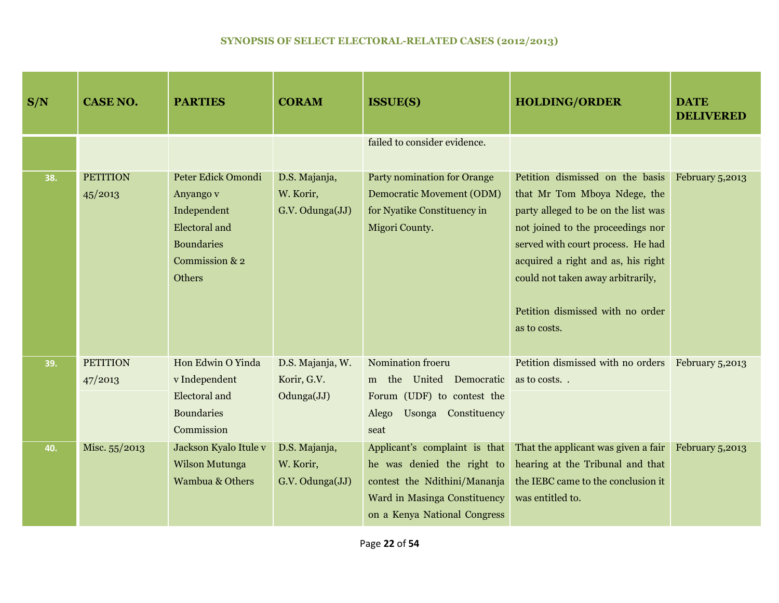| S/N | <b>CASE NO.</b>            | <b>PARTIES</b>                                                                                                          | <b>CORAM</b>                                  | <b>ISSUE(S)</b>                                                                                                                                             | <b>HOLDING/ORDER</b>                                                                                                                                                                                                                                                                                            | <b>DATE</b><br><b>DELIVERED</b> |
|-----|----------------------------|-------------------------------------------------------------------------------------------------------------------------|-----------------------------------------------|-------------------------------------------------------------------------------------------------------------------------------------------------------------|-----------------------------------------------------------------------------------------------------------------------------------------------------------------------------------------------------------------------------------------------------------------------------------------------------------------|---------------------------------|
|     |                            |                                                                                                                         |                                               | failed to consider evidence.                                                                                                                                |                                                                                                                                                                                                                                                                                                                 |                                 |
| 38. | <b>PETITION</b><br>45/2013 | Peter Edick Omondi<br>Anyango v<br>Independent<br><b>Electoral</b> and<br><b>Boundaries</b><br>Commission & 2<br>Others | D.S. Majanja,<br>W. Korir,<br>G.V. Odunga(JJ) | <b>Party nomination for Orange</b><br><b>Democratic Movement (ODM)</b><br>for Nyatike Constituency in<br>Migori County.                                     | Petition dismissed on the basis<br>that Mr Tom Mboya Ndege, the<br>party alleged to be on the list was<br>not joined to the proceedings nor<br>served with court process. He had<br>acquired a right and as, his right<br>could not taken away arbitrarily,<br>Petition dismissed with no order<br>as to costs. | February 5,2013                 |
| 39. | <b>PETITION</b><br>47/2013 | Hon Edwin O Yinda<br>v Independent<br>Electoral and<br><b>Boundaries</b><br>Commission                                  | D.S. Majanja, W.<br>Korir, G.V.<br>Odunga(JJ) | Nomination froeru<br>m the<br>United Democratic<br>Forum (UDF) to contest the<br>Usonga Constituency<br>Alego<br>seat                                       | Petition dismissed with no orders February 5,2013<br>as to costs                                                                                                                                                                                                                                                |                                 |
| 40. | Misc. 55/2013              | Jackson Kyalo Itule v<br>Wilson Mutunga<br><b>Wambua &amp; Others</b>                                                   | D.S. Majanja,<br>W. Korir,<br>G.V. Odunga(JJ) | Applicant's complaint is that<br>he was denied the right to<br>contest the Ndithini/Mananja<br>Ward in Masinga Constituency<br>on a Kenya National Congress | That the applicant was given a fair<br>hearing at the Tribunal and that<br>the IEBC came to the conclusion it<br>was entitled to.                                                                                                                                                                               | February 5,2013                 |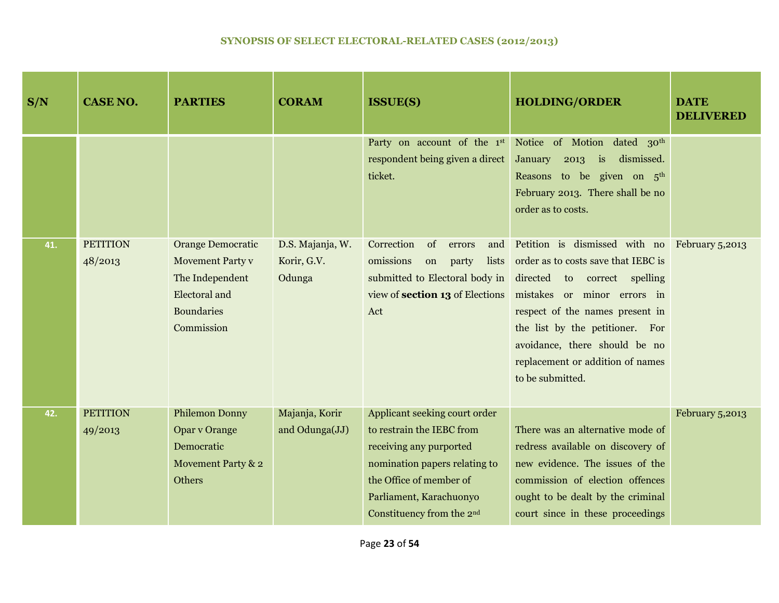| S/N | <b>CASE NO.</b>            | <b>PARTIES</b>                                                                                                                    | <b>CORAM</b>                              | <b>ISSUE(S)</b>                                                                                                                                                                                                       | <b>HOLDING/ORDER</b>                                                                                                                                                                                                                                                                                               | <b>DATE</b><br><b>DELIVERED</b> |
|-----|----------------------------|-----------------------------------------------------------------------------------------------------------------------------------|-------------------------------------------|-----------------------------------------------------------------------------------------------------------------------------------------------------------------------------------------------------------------------|--------------------------------------------------------------------------------------------------------------------------------------------------------------------------------------------------------------------------------------------------------------------------------------------------------------------|---------------------------------|
|     |                            |                                                                                                                                   |                                           | respondent being given a direct<br>ticket.                                                                                                                                                                            | Party on account of the 1st Notice of Motion dated 30th<br>is<br>dismissed.<br>January<br>2013<br>Reasons to be given on 5 <sup>th</sup><br>February 2013. There shall be no<br>order as to costs.                                                                                                                 |                                 |
| 41. | <b>PETITION</b><br>48/2013 | <b>Orange Democratic</b><br><b>Movement Party v</b><br>The Independent<br><b>Electoral</b> and<br><b>Boundaries</b><br>Commission | D.S. Majanja, W.<br>Korir, G.V.<br>Odunga | Correction<br>of<br>and<br>errors<br>omissions<br>lists<br>party<br>on<br>submitted to Electoral body in<br>view of section 13 of Elections<br>Act                                                                    | Petition is dismissed with no February 5,2013<br>order as to costs save that IEBC is<br>directed to correct spelling<br>mistakes or minor errors in<br>respect of the names present in<br>the list by the petitioner. For<br>avoidance, there should be no<br>replacement or addition of names<br>to be submitted. |                                 |
| 42. | <b>PETITION</b><br>49/2013 | <b>Philemon Donny</b><br>Opar v Orange<br>Democratic<br>Movement Party & 2<br>Others                                              | Majanja, Korir<br>and Odunga(JJ)          | Applicant seeking court order<br>to restrain the IEBC from<br>receiving any purported<br>nomination papers relating to<br>the Office of member of<br>Parliament, Karachuonyo<br>Constituency from the 2 <sup>nd</sup> | There was an alternative mode of<br>redress available on discovery of<br>new evidence. The issues of the<br>commission of election offences<br>ought to be dealt by the criminal<br>court since in these proceedings                                                                                               | February 5,2013                 |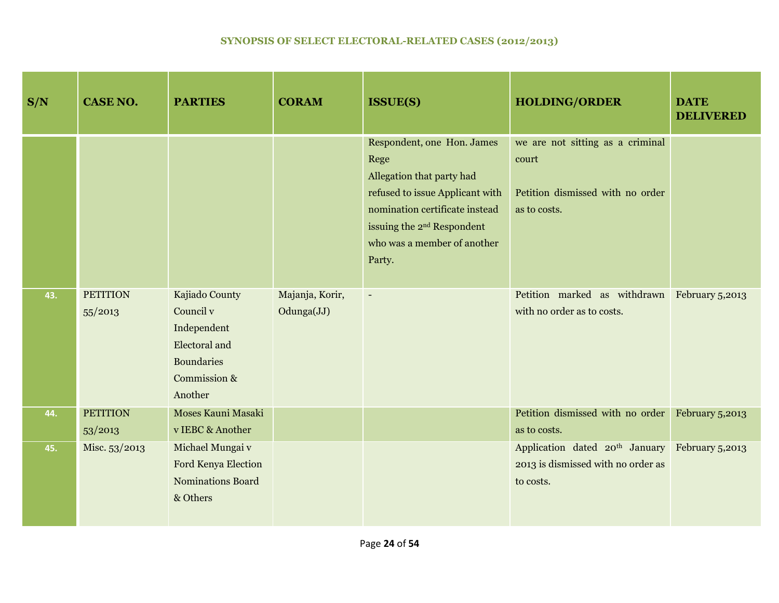| S/N | <b>CASE NO.</b>            | <b>PARTIES</b>                                                                                              | <b>CORAM</b>                  | <b>ISSUE(S)</b>                                                                                                                                                                                                         | <b>HOLDING/ORDER</b>                                                                          | <b>DATE</b><br><b>DELIVERED</b> |
|-----|----------------------------|-------------------------------------------------------------------------------------------------------------|-------------------------------|-------------------------------------------------------------------------------------------------------------------------------------------------------------------------------------------------------------------------|-----------------------------------------------------------------------------------------------|---------------------------------|
|     |                            |                                                                                                             |                               | Respondent, one Hon. James<br>Rege<br>Allegation that party had<br>refused to issue Applicant with<br>nomination certificate instead<br>issuing the 2 <sup>nd</sup> Respondent<br>who was a member of another<br>Party. | we are not sitting as a criminal<br>court<br>Petition dismissed with no order<br>as to costs. |                                 |
| 43. | <b>PETITION</b><br>55/2013 | Kajiado County<br>Council v<br>Independent<br>Electoral and<br><b>Boundaries</b><br>Commission &<br>Another | Majanja, Korir,<br>Odunga(JJ) | $\blacksquare$                                                                                                                                                                                                          | Petition marked as withdrawn February 5,2013<br>with no order as to costs.                    |                                 |
| 44. | <b>PETITION</b><br>53/2013 | Moses Kauni Masaki<br>v IEBC & Another                                                                      |                               |                                                                                                                                                                                                                         | Petition dismissed with no order<br>as to costs.                                              | February 5,2013                 |
| 45. | Misc. 53/2013              | Michael Mungai v<br>Ford Kenya Election<br><b>Nominations Board</b><br>& Others                             |                               |                                                                                                                                                                                                                         | Application dated 20 <sup>th</sup> January<br>2013 is dismissed with no order as<br>to costs. | February 5,2013                 |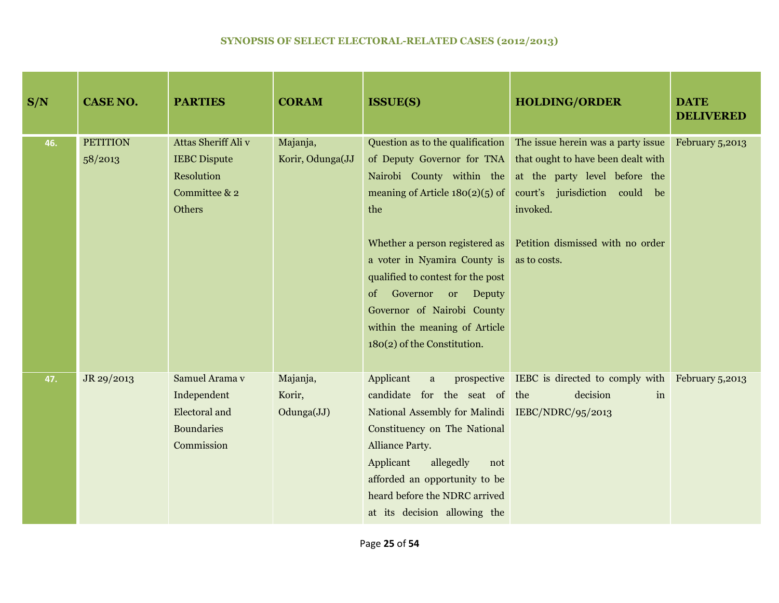| S/N | <b>CASE NO.</b>            | <b>PARTIES</b>                                                                             | <b>CORAM</b>                     | <b>ISSUE(S)</b>                                                                                                                                                                                                                                                                                 | <b>HOLDING/ORDER</b>                                                                                                                                                                                                                                                                                  | <b>DATE</b><br><b>DELIVERED</b> |
|-----|----------------------------|--------------------------------------------------------------------------------------------|----------------------------------|-------------------------------------------------------------------------------------------------------------------------------------------------------------------------------------------------------------------------------------------------------------------------------------------------|-------------------------------------------------------------------------------------------------------------------------------------------------------------------------------------------------------------------------------------------------------------------------------------------------------|---------------------------------|
| 46. | <b>PETITION</b><br>58/2013 | Attas Sheriff Ali v<br><b>IEBC</b> Dispute<br>Resolution<br>Committee & 2<br><b>Others</b> | Majanja,<br>Korir, Odunga(JJ     | Nairobi County within the<br>meaning of Article $180(2)(5)$ of<br>the<br>a voter in Nyamira County is<br>qualified to contest for the post<br>Governor or Deputy<br>$\sigma$<br>Governor of Nairobi County<br>within the meaning of Article<br>180(2) of the Constitution.                      | Question as to the qualification The issue herein was a party issue<br>of Deputy Governor for TNA that ought to have been dealt with<br>at the party level before the<br>court's jurisdiction could be<br>invoked.<br>Whether a person registered as Petition dismissed with no order<br>as to costs. | February 5,2013                 |
| 47. | JR 29/2013                 | Samuel Arama v<br>Independent<br>Electoral and<br><b>Boundaries</b><br>Commission          | Majanja,<br>Korir,<br>Odunga(JJ) | Applicant<br>a<br>candidate for the seat of the<br>National Assembly for Malindi IEBC/NDRC/95/2013<br>Constituency on The National<br><b>Alliance Party.</b><br>Applicant<br>allegedly<br>not<br>afforded an opportunity to be<br>heard before the NDRC arrived<br>at its decision allowing the | prospective IEBC is directed to comply with February 5,2013<br>decision<br>in                                                                                                                                                                                                                         |                                 |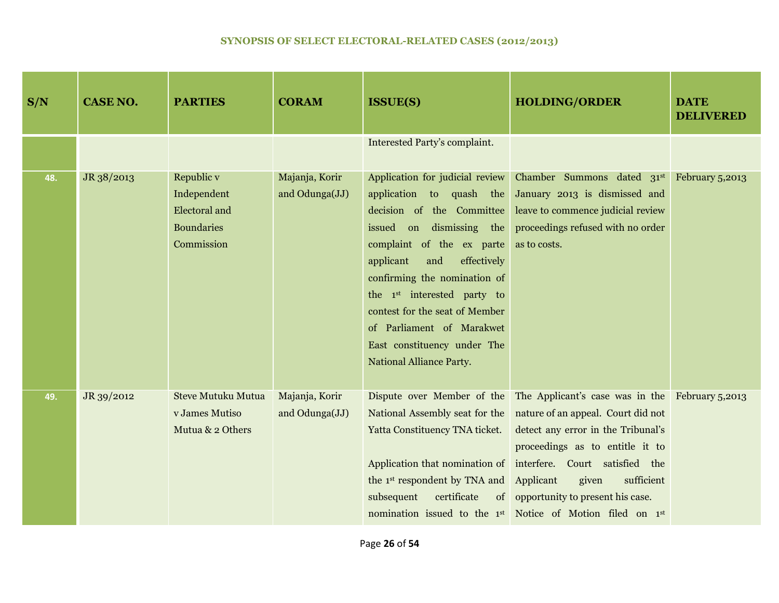| S/N | <b>CASE NO.</b> | <b>PARTIES</b>                                                                       | <b>CORAM</b>                     | <b>ISSUE(S)</b>                                                                                                                                                                                                                                                                                                                                                                                  | <b>HOLDING/ORDER</b>                                                                                                                                                                                                                                                                                                                                                                                                        | <b>DATE</b><br><b>DELIVERED</b> |
|-----|-----------------|--------------------------------------------------------------------------------------|----------------------------------|--------------------------------------------------------------------------------------------------------------------------------------------------------------------------------------------------------------------------------------------------------------------------------------------------------------------------------------------------------------------------------------------------|-----------------------------------------------------------------------------------------------------------------------------------------------------------------------------------------------------------------------------------------------------------------------------------------------------------------------------------------------------------------------------------------------------------------------------|---------------------------------|
|     |                 |                                                                                      |                                  | Interested Party's complaint.                                                                                                                                                                                                                                                                                                                                                                    |                                                                                                                                                                                                                                                                                                                                                                                                                             |                                 |
| 48. | JR 38/2013      | Republic v<br>Independent<br><b>Electoral</b> and<br><b>Boundaries</b><br>Commission | Majanja, Korir<br>and Odunga(JJ) | Application for judicial review<br>application to quash the<br>decision of the Committee<br>issued on dismissing the<br>complaint of the ex parte<br>applicant<br>and<br>effectively<br>confirming the nomination of<br>the 1 <sup>st</sup> interested party to<br>contest for the seat of Member<br>of Parliament of Marakwet<br>East constituency under The<br><b>National Alliance Party.</b> | Chamber Summons dated 31st<br>January 2013 is dismissed and<br>leave to commence judicial review<br>proceedings refused with no order<br>as to costs.                                                                                                                                                                                                                                                                       | February 5,2013                 |
| 49. | JR 39/2012      | <b>Steve Mutuku Mutua</b><br>v James Mutiso<br>Mutua & 2 Others                      | Majanja, Korir<br>and Odunga(JJ) | National Assembly seat for the<br>Yatta Constituency TNA ticket.<br>the 1 <sup>st</sup> respondent by TNA and<br>certificate<br>subsequent                                                                                                                                                                                                                                                       | Dispute over Member of the The Applicant's case was in the February 5,2013<br>nature of an appeal. Court did not<br>detect any error in the Tribunal's<br>proceedings as to entitle it to<br>Application that nomination of interfere. Court satisfied the<br>given<br>Applicant<br>sufficient<br>of opportunity to present his case.<br>nomination issued to the 1 <sup>st</sup> Notice of Motion filed on 1 <sup>st</sup> |                                 |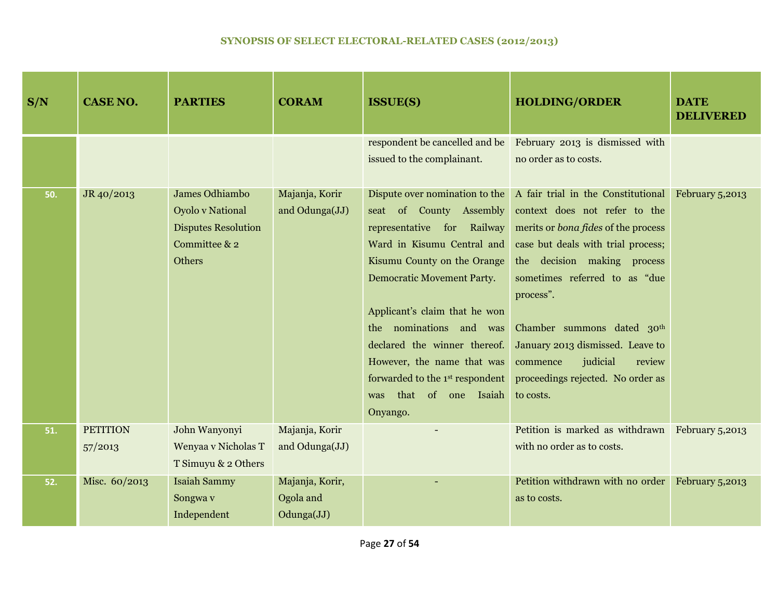| S/N | <b>CASE NO.</b>            | <b>PARTIES</b>                                                                                            | <b>CORAM</b>                               | <b>ISSUE(S)</b>                                                                                                                                                                                                                                                                                                                                                                                       | <b>HOLDING/ORDER</b>                                                                                                                                                                                                                                                                                                                                                                                       | <b>DATE</b><br><b>DELIVERED</b> |
|-----|----------------------------|-----------------------------------------------------------------------------------------------------------|--------------------------------------------|-------------------------------------------------------------------------------------------------------------------------------------------------------------------------------------------------------------------------------------------------------------------------------------------------------------------------------------------------------------------------------------------------------|------------------------------------------------------------------------------------------------------------------------------------------------------------------------------------------------------------------------------------------------------------------------------------------------------------------------------------------------------------------------------------------------------------|---------------------------------|
|     |                            |                                                                                                           |                                            | respondent be cancelled and be<br>issued to the complainant.                                                                                                                                                                                                                                                                                                                                          | February 2013 is dismissed with<br>no order as to costs.                                                                                                                                                                                                                                                                                                                                                   |                                 |
| 50. | JR 40/2013                 | James Odhiambo<br><b>Oyolo v National</b><br><b>Disputes Resolution</b><br>Committee & 2<br><b>Others</b> | Majanja, Korir<br>and Odunga(JJ)           | Dispute over nomination to the<br>seat of County Assembly<br>representative for Railway<br>Ward in Kisumu Central and<br>Kisumu County on the Orange<br><b>Democratic Movement Party.</b><br>Applicant's claim that he won<br>nominations and was<br>the<br>declared the winner thereof.<br>However, the name that was<br>forwarded to the 1st respondent<br>that<br>of one Isaiah<br>was<br>Onyango. | A fair trial in the Constitutional February 5,2013<br>context does not refer to the<br>merits or <i>bona fides</i> of the process<br>case but deals with trial process;<br>the decision making process<br>sometimes referred to as "due<br>process".<br>Chamber summons dated 30th<br>January 2013 dismissed. Leave to<br>judicial<br>review<br>commence<br>proceedings rejected. No order as<br>to costs. |                                 |
| 51. | <b>PETITION</b><br>57/2013 | John Wanyonyi<br>Wenyaa v Nicholas T<br>T Simuyu & 2 Others                                               | Majanja, Korir<br>and Odunga(JJ)           |                                                                                                                                                                                                                                                                                                                                                                                                       | Petition is marked as withdrawn February 5,2013<br>with no order as to costs.                                                                                                                                                                                                                                                                                                                              |                                 |
| 52. | Misc. 60/2013              | <b>Isaiah Sammy</b><br>Songwa v<br>Independent                                                            | Majanja, Korir,<br>Ogola and<br>Odunga(JJ) |                                                                                                                                                                                                                                                                                                                                                                                                       | Petition withdrawn with no order<br>as to costs.                                                                                                                                                                                                                                                                                                                                                           | February 5,2013                 |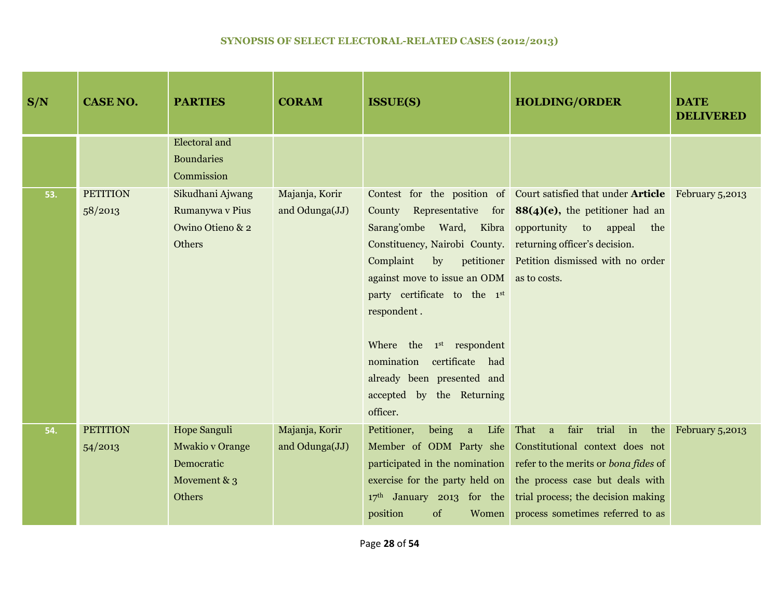| S/N | <b>CASE NO.</b> | <b>PARTIES</b>         | <b>CORAM</b>   | <b>ISSUE(S)</b>                               | <b>HOLDING/ORDER</b>                                                                  | <b>DATE</b><br><b>DELIVERED</b> |
|-----|-----------------|------------------------|----------------|-----------------------------------------------|---------------------------------------------------------------------------------------|---------------------------------|
|     |                 | <b>Electoral and</b>   |                |                                               |                                                                                       |                                 |
|     |                 | <b>Boundaries</b>      |                |                                               |                                                                                       |                                 |
|     |                 | Commission             |                |                                               |                                                                                       |                                 |
| 53. | <b>PETITION</b> | Sikudhani Ajwang       | Majanja, Korir |                                               | Contest for the position of Court satisfied that under <b>Article</b> February 5,2013 |                                 |
|     | 58/2013         | Rumanywa v Pius        | and Odunga(JJ) |                                               | County Representative for $88(4)(e)$ , the petitioner had an                          |                                 |
|     |                 | Owino Otieno & 2       |                | Sarang'ombe Ward, Kibra opportunity to appeal | the                                                                                   |                                 |
|     |                 | Others                 |                | Constituency, Nairobi County.                 | returning officer's decision.                                                         |                                 |
|     |                 |                        |                | Complaint<br>$\mathbf{b}$                     | petitioner Petition dismissed with no order                                           |                                 |
|     |                 |                        |                | against move to issue an ODM as to costs.     |                                                                                       |                                 |
|     |                 |                        |                | party certificate to the 1st                  |                                                                                       |                                 |
|     |                 |                        |                | respondent.                                   |                                                                                       |                                 |
|     |                 |                        |                |                                               |                                                                                       |                                 |
|     |                 |                        |                | Where the 1 <sup>st</sup> respondent          |                                                                                       |                                 |
|     |                 |                        |                | nomination<br>certificate had                 |                                                                                       |                                 |
|     |                 |                        |                | already been presented and                    |                                                                                       |                                 |
|     |                 |                        |                | accepted by the Returning                     |                                                                                       |                                 |
|     |                 |                        |                | officer.                                      |                                                                                       |                                 |
| 54. | <b>PETITION</b> | Hope Sanguli           | Majanja, Korir | being<br>Petitioner,<br>a<br>Life             | trial<br>That a fair                                                                  | in the February 5,2013          |
|     | 54/2013         | <b>Mwakio v Orange</b> | and Odunga(JJ) | Member of ODM Party she                       | Constitutional context does not                                                       |                                 |
|     |                 | Democratic             |                | participated in the nomination                | refer to the merits or bona fides of                                                  |                                 |
|     |                 | Movement $& 3$         |                | exercise for the party held on                | the process case but deals with                                                       |                                 |
|     |                 | Others                 |                | $17th$ January 2013 for the                   | trial process; the decision making                                                    |                                 |
|     |                 |                        |                | position<br>of<br>Women                       | process sometimes referred to as                                                      |                                 |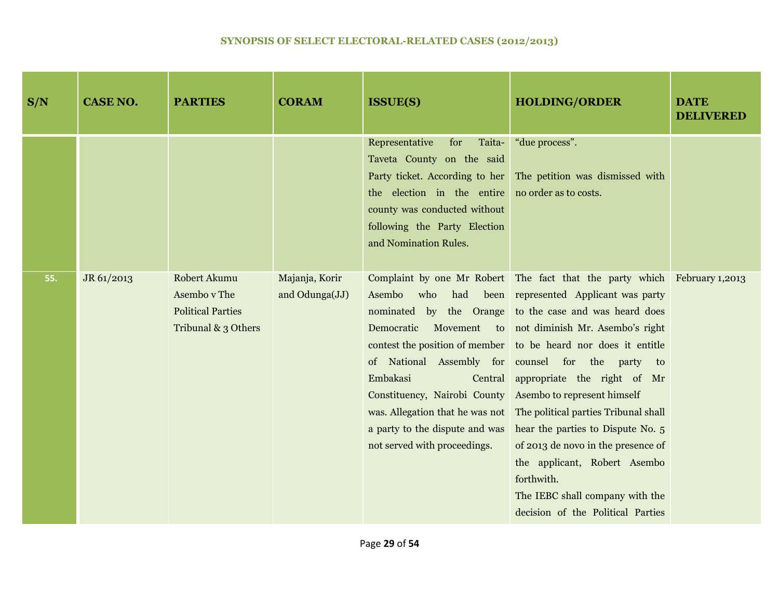| S/N | <b>CASE NO.</b> | <b>PARTIES</b>                                                                  | <b>CORAM</b>                     | <b>ISSUE(S)</b>                                                                                                                                                                                           | <b>HOLDING/ORDER</b>                                                                                                                                                                                                                                                                                                                                                                                                                                                                                                                                                                                                                                                                                           | <b>DATE</b><br><b>DELIVERED</b> |
|-----|-----------------|---------------------------------------------------------------------------------|----------------------------------|-----------------------------------------------------------------------------------------------------------------------------------------------------------------------------------------------------------|----------------------------------------------------------------------------------------------------------------------------------------------------------------------------------------------------------------------------------------------------------------------------------------------------------------------------------------------------------------------------------------------------------------------------------------------------------------------------------------------------------------------------------------------------------------------------------------------------------------------------------------------------------------------------------------------------------------|---------------------------------|
|     |                 |                                                                                 |                                  | Representative<br>for<br>Taita-<br>Taveta County on the said<br>the election in the entire no order as to costs.<br>county was conducted without<br>following the Party Election<br>and Nomination Rules. | "due process".<br>Party ticket. According to her The petition was dismissed with                                                                                                                                                                                                                                                                                                                                                                                                                                                                                                                                                                                                                               |                                 |
| 55. | JR 61/2013      | Robert Akumu<br>Asembo v The<br><b>Political Parties</b><br>Tribunal & 3 Others | Majanja, Korir<br>and Odunga(JJ) | Asembo<br>who<br>Embakasi<br>Constituency, Nairobi County<br>a party to the dispute and was<br>not served with proceedings.                                                                               | Complaint by one Mr Robert The fact that the party which February 1,2013<br>had been represented Applicant was party<br>nominated by the Orange to the case and was heard does<br>Democratic Movement to not diminish Mr. Asembo's right<br>contest the position of member to be heard nor does it entitle<br>of National Assembly for counsel for the party to<br>Central appropriate the right of Mr<br>Asembo to represent himself<br>was. Allegation that he was not The political parties Tribunal shall<br>hear the parties to Dispute No. 5<br>of 2013 de novo in the presence of<br>the applicant, Robert Asembo<br>forthwith.<br>The IEBC shall company with the<br>decision of the Political Parties |                                 |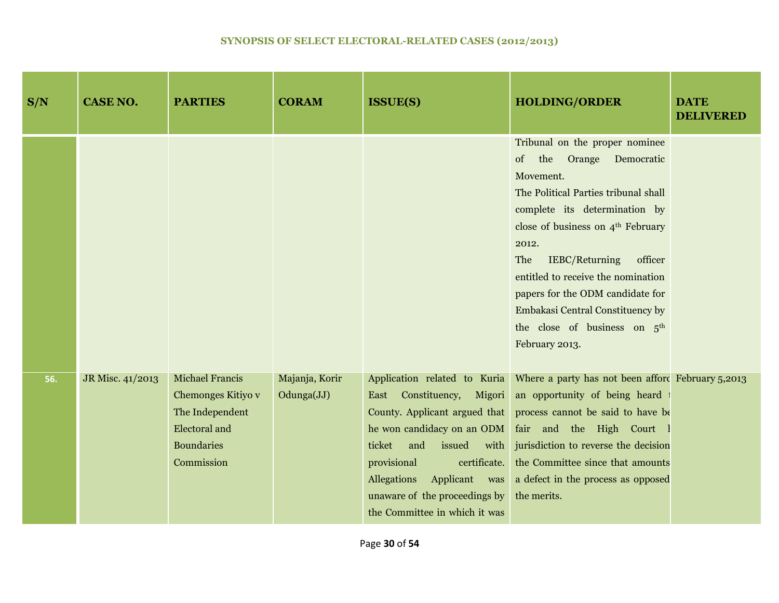| S/N | <b>CASE NO.</b>  | <b>PARTIES</b>                                                                                                             | <b>CORAM</b>                 | <b>ISSUE(S)</b>                                                                                                                                                                                                     | <b>HOLDING/ORDER</b>                                                                                                                                                                                                                                                                                                                                                                                                                       | <b>DATE</b><br><b>DELIVERED</b> |
|-----|------------------|----------------------------------------------------------------------------------------------------------------------------|------------------------------|---------------------------------------------------------------------------------------------------------------------------------------------------------------------------------------------------------------------|--------------------------------------------------------------------------------------------------------------------------------------------------------------------------------------------------------------------------------------------------------------------------------------------------------------------------------------------------------------------------------------------------------------------------------------------|---------------------------------|
|     |                  |                                                                                                                            |                              |                                                                                                                                                                                                                     | Tribunal on the proper nominee<br>of<br>the<br>Orange<br>Democratic<br>Movement.<br>The Political Parties tribunal shall<br>complete its determination by<br>close of business on 4 <sup>th</sup> February<br>2012.<br><b>IEBC/Returning</b><br>officer<br>The<br>entitled to receive the nomination<br>papers for the ODM candidate for<br>Embakasi Central Constituency by<br>the close of business on 5 <sup>th</sup><br>February 2013. |                                 |
| 56. | JR Misc. 41/2013 | <b>Michael Francis</b><br>Chemonges Kitiyo v<br>The Independent<br><b>Electoral</b> and<br><b>Boundaries</b><br>Commission | Majanja, Korir<br>Odunga(JJ) | East Constituency,<br>Migori<br>he won candidacy on an ODM<br>and<br>issued<br>ticket<br>provisional<br>certificate.<br>Allegations Applicant was<br>unaware of the proceedings by<br>the Committee in which it was | Application related to Kuria Where a party has not been afford February 5,2013<br>an opportunity of being heard<br>County. Applicant argued that process cannot be said to have be<br>fair and the High Court<br>with jurisdiction to reverse the decision<br>the Committee since that amounts<br>a defect in the process as opposed<br>the merits.                                                                                        |                                 |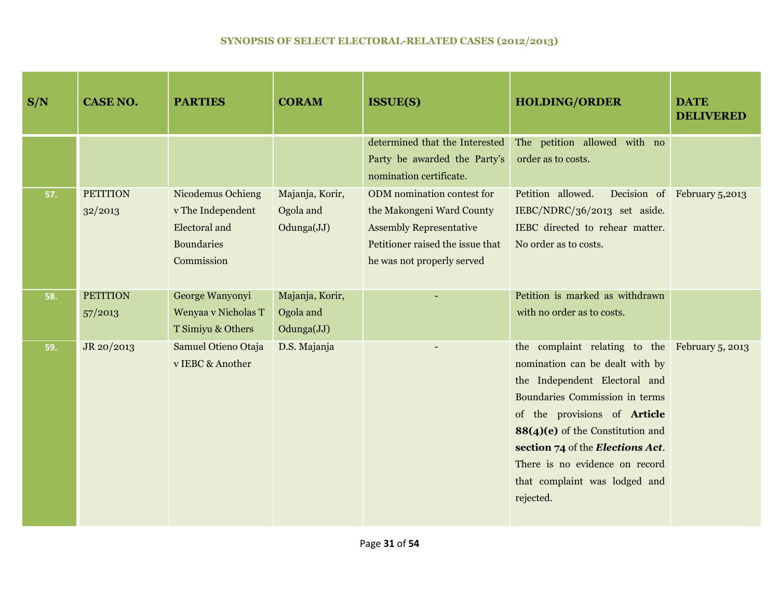| S/N | <b>CASE NO.</b>            | <b>PARTIES</b>                                                                             | <b>CORAM</b>                               | <b>ISSUE(S)</b>                                                                                                                                             | <b>HOLDING/ORDER</b>                                                                                                                                                                                                                                                                                                                         | <b>DATE</b><br><b>DELIVERED</b> |
|-----|----------------------------|--------------------------------------------------------------------------------------------|--------------------------------------------|-------------------------------------------------------------------------------------------------------------------------------------------------------------|----------------------------------------------------------------------------------------------------------------------------------------------------------------------------------------------------------------------------------------------------------------------------------------------------------------------------------------------|---------------------------------|
|     |                            |                                                                                            |                                            | determined that the Interested<br>Party be awarded the Party's<br>nomination certificate.                                                                   | The petition allowed with no<br>order as to costs.                                                                                                                                                                                                                                                                                           |                                 |
| 57. | <b>PETITION</b><br>32/2013 | Nicodemus Ochieng<br>v The Independent<br>Electoral and<br><b>Boundaries</b><br>Commission | Majanja, Korir,<br>Ogola and<br>Odunga(JJ) | ODM nomination contest for<br>the Makongeni Ward County<br><b>Assembly Representative</b><br>Petitioner raised the issue that<br>he was not properly served | Petition allowed.<br>IEBC/NDRC/36/2013 set aside.<br>IEBC directed to rehear matter.<br>No order as to costs.                                                                                                                                                                                                                                | Decision of February 5,2013     |
| 58. | <b>PETITION</b><br>57/2013 | George Wanyonyi<br>Wenyaa v Nicholas T<br>T Simiyu & Others                                | Majanja, Korir,<br>Ogola and<br>Odunga(JJ) |                                                                                                                                                             | Petition is marked as withdrawn<br>with no order as to costs.                                                                                                                                                                                                                                                                                |                                 |
| 59. | JR 20/2013                 | Samuel Otieno Otaja<br>v IEBC & Another                                                    | D.S. Majanja                               |                                                                                                                                                             | the complaint relating to the February 5, 2013<br>nomination can be dealt with by<br>the Independent Electoral and<br>Boundaries Commission in terms<br>of the provisions of Article<br>88(4)(e) of the Constitution and<br>section 74 of the Elections Act.<br>There is no evidence on record<br>that complaint was lodged and<br>rejected. |                                 |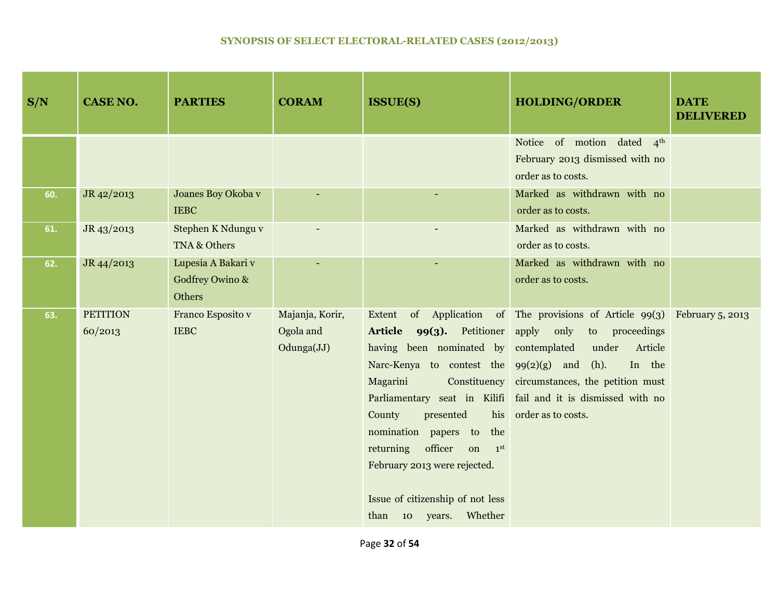| S/N | <b>CASE NO.</b>            | <b>PARTIES</b>                                  | <b>CORAM</b>                               | <b>ISSUE(S)</b>                                                                                                                                                                                                                                                                                                                                                                                                  | <b>HOLDING/ORDER</b>                                                                                                                                                                                                           | <b>DATE</b><br><b>DELIVERED</b> |
|-----|----------------------------|-------------------------------------------------|--------------------------------------------|------------------------------------------------------------------------------------------------------------------------------------------------------------------------------------------------------------------------------------------------------------------------------------------------------------------------------------------------------------------------------------------------------------------|--------------------------------------------------------------------------------------------------------------------------------------------------------------------------------------------------------------------------------|---------------------------------|
|     |                            |                                                 |                                            |                                                                                                                                                                                                                                                                                                                                                                                                                  | Notice of motion dated 4th<br>February 2013 dismissed with no<br>order as to costs.                                                                                                                                            |                                 |
| 60. | JR 42/2013                 | Joanes Boy Okoba v<br><b>IEBC</b>               |                                            |                                                                                                                                                                                                                                                                                                                                                                                                                  | Marked as withdrawn with no<br>order as to costs.                                                                                                                                                                              |                                 |
| 61. | JR 43/2013                 | Stephen K Ndungu v<br>TNA & Others              |                                            |                                                                                                                                                                                                                                                                                                                                                                                                                  | Marked as withdrawn with no<br>order as to costs.                                                                                                                                                                              |                                 |
| 62. | JR 44/2013                 | Lupesia A Bakari v<br>Godfrey Owino &<br>Others |                                            |                                                                                                                                                                                                                                                                                                                                                                                                                  | Marked as withdrawn with no<br>order as to costs.                                                                                                                                                                              |                                 |
| 63. | <b>PETITION</b><br>60/2013 | Franco Esposito v<br><b>IEBC</b>                | Majanja, Korir,<br>Ogola and<br>Odunga(JJ) | of Application<br>Extent<br>Article 99(3). Petitioner apply only<br>having been nominated by<br>Narc-Kenya to contest the $99(2)(g)$ and<br>Constituency<br>Magarini<br>Parliamentary seat in Kilifi<br>County<br>presented<br>his<br>nomination papers to<br>the<br>officer<br>returning<br>on<br>1 <sup>st</sup><br>February 2013 were rejected.<br>Issue of citizenship of not less<br>than 10 years. Whether | of The provisions of Article $99(3)$ February 5, 2013<br>to proceedings<br>contemplated<br>under<br>Article<br>$(h)$ .<br>In the<br>circumstances, the petition must<br>fail and it is dismissed with no<br>order as to costs. |                                 |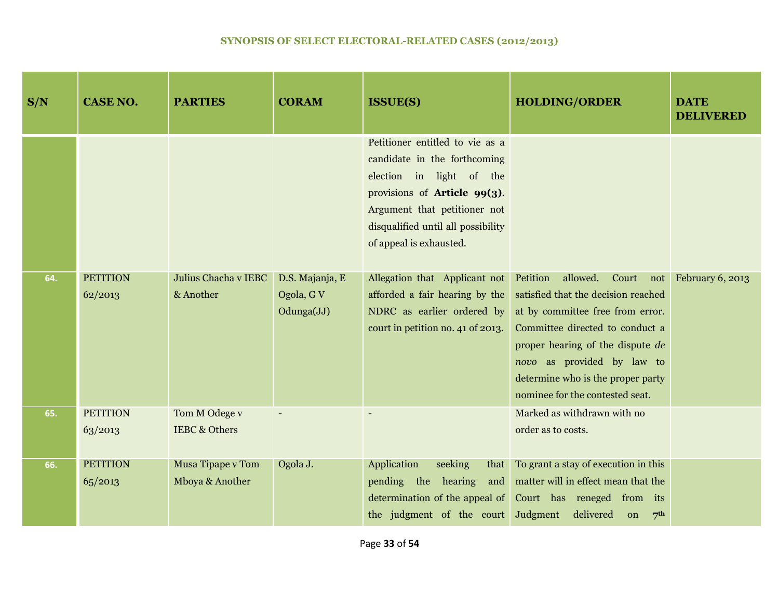| S/N | <b>CASE NO.</b> | <b>PARTIES</b>           | <b>CORAM</b>             | <b>ISSUE(S)</b>                                                                                                                                                                                                              | <b>HOLDING/ORDER</b>                                                                                                                                                                                                                                 | <b>DATE</b><br><b>DELIVERED</b> |
|-----|-----------------|--------------------------|--------------------------|------------------------------------------------------------------------------------------------------------------------------------------------------------------------------------------------------------------------------|------------------------------------------------------------------------------------------------------------------------------------------------------------------------------------------------------------------------------------------------------|---------------------------------|
|     |                 |                          |                          | Petitioner entitled to vie as a<br>candidate in the forthcoming<br>election in light of the<br>provisions of Article 99(3).<br>Argument that petitioner not<br>disqualified until all possibility<br>of appeal is exhausted. |                                                                                                                                                                                                                                                      |                                 |
| 64. | <b>PETITION</b> | Julius Chacha v IEBC     | D.S. Majanja, E          | Allegation that Applicant not                                                                                                                                                                                                | Petition<br>allowed. Court not February 6, 2013                                                                                                                                                                                                      |                                 |
|     | 62/2013         | & Another                | Ogola, G V<br>Odunga(JJ) | afforded a fair hearing by the<br>NDRC as earlier ordered by<br>court in petition no. 41 of 2013.                                                                                                                            | satisfied that the decision reached<br>at by committee free from error.<br>Committee directed to conduct a<br>proper hearing of the dispute de<br>novo as provided by law to<br>determine who is the proper party<br>nominee for the contested seat. |                                 |
| 65. | <b>PETITION</b> | Tom M Odege v            |                          |                                                                                                                                                                                                                              | Marked as withdrawn with no                                                                                                                                                                                                                          |                                 |
|     | 63/2013         | <b>IEBC &amp; Others</b> |                          |                                                                                                                                                                                                                              | order as to costs.                                                                                                                                                                                                                                   |                                 |
| 66. | <b>PETITION</b> | Musa Tipape v Tom        | Ogola J.                 | Application<br>seeking<br>that                                                                                                                                                                                               | To grant a stay of execution in this                                                                                                                                                                                                                 |                                 |
|     | 65/2013         | Mboya & Another          |                          | pending the hearing<br>and<br>determination of the appeal of<br>the judgment of the court                                                                                                                                    | matter will in effect mean that the<br>Court has reneged from its<br>delivered<br>Judgment<br>7 <sup>th</sup><br>on                                                                                                                                  |                                 |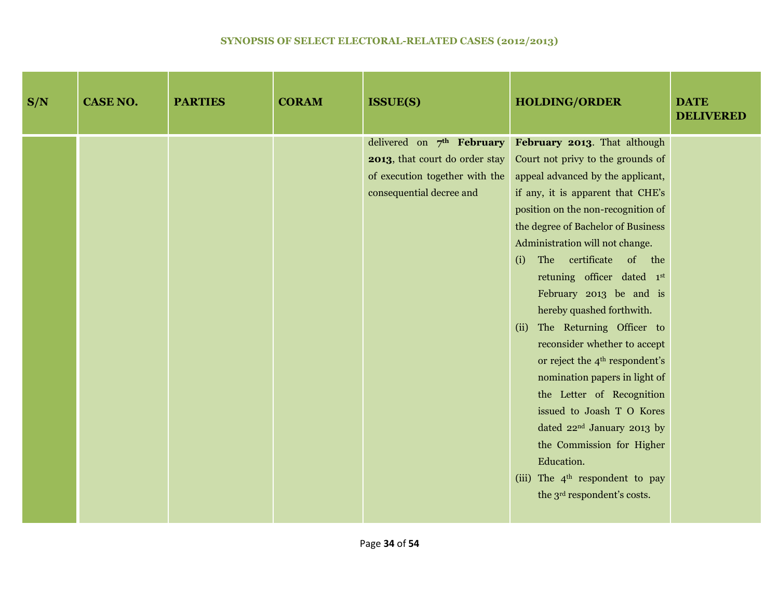| S/N | <b>CASE NO.</b> | <b>PARTIES</b> | <b>CORAM</b> | <b>ISSUE(S)</b>                                                                                                           | <b>HOLDING/ORDER</b>                                                                                                                                                                                                                                                                                                                                                                                                                                                                                                                                                                                                                                                                                                                                                          | <b>DATE</b><br><b>DELIVERED</b> |
|-----|-----------------|----------------|--------------|---------------------------------------------------------------------------------------------------------------------------|-------------------------------------------------------------------------------------------------------------------------------------------------------------------------------------------------------------------------------------------------------------------------------------------------------------------------------------------------------------------------------------------------------------------------------------------------------------------------------------------------------------------------------------------------------------------------------------------------------------------------------------------------------------------------------------------------------------------------------------------------------------------------------|---------------------------------|
|     |                 |                |              | delivered on 7th February<br>2013, that court do order stay<br>of execution together with the<br>consequential decree and | February 2013. That although<br>Court not privy to the grounds of<br>appeal advanced by the applicant,<br>if any, it is apparent that CHE's<br>position on the non-recognition of<br>the degree of Bachelor of Business<br>Administration will not change.<br>The certificate of the<br>(i)<br>retuning officer dated 1st<br>February 2013 be and is<br>hereby quashed forthwith.<br>The Returning Officer to<br>(ii)<br>reconsider whether to accept<br>or reject the 4 <sup>th</sup> respondent's<br>nomination papers in light of<br>the Letter of Recognition<br>issued to Joash T O Kores<br>dated 22 <sup>nd</sup> January 2013 by<br>the Commission for Higher<br>Education.<br>(iii) The 4 <sup>th</sup> respondent to pay<br>the 3 <sup>rd</sup> respondent's costs. |                                 |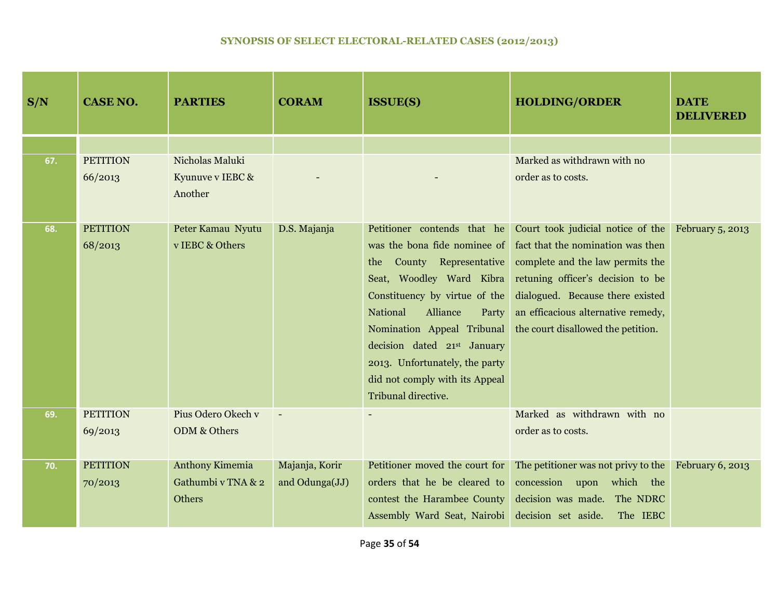| S/N | <b>CASE NO.</b>            | <b>PARTIES</b>                                         | <b>CORAM</b>                     | <b>ISSUE(S)</b>                                                                                                                                                                                                                                                                                                                                          | <b>HOLDING/ORDER</b>                                                                                                                                                                                                                                            | <b>DATE</b><br><b>DELIVERED</b> |
|-----|----------------------------|--------------------------------------------------------|----------------------------------|----------------------------------------------------------------------------------------------------------------------------------------------------------------------------------------------------------------------------------------------------------------------------------------------------------------------------------------------------------|-----------------------------------------------------------------------------------------------------------------------------------------------------------------------------------------------------------------------------------------------------------------|---------------------------------|
|     |                            |                                                        |                                  |                                                                                                                                                                                                                                                                                                                                                          |                                                                                                                                                                                                                                                                 |                                 |
| 67. | <b>PETITION</b><br>66/2013 | Nicholas Maluki<br>Kyunuve v IEBC &<br>Another         |                                  |                                                                                                                                                                                                                                                                                                                                                          | Marked as withdrawn with no<br>order as to costs.                                                                                                                                                                                                               |                                 |
| 68. | <b>PETITION</b><br>68/2013 | Peter Kamau Nyutu<br>v IEBC & Others                   | D.S. Majanja                     | Petitioner contends that he<br>was the bona fide nominee of<br>County Representative<br>the<br>Seat, Woodley Ward Kibra<br>Constituency by virtue of the<br><b>National</b><br>Alliance<br>Party<br>Nomination Appeal Tribunal<br>decision dated 21st January<br>2013. Unfortunately, the party<br>did not comply with its Appeal<br>Tribunal directive. | Court took judicial notice of the<br>fact that the nomination was then<br>complete and the law permits the<br>retuning officer's decision to be<br>dialogued. Because there existed<br>an efficacious alternative remedy,<br>the court disallowed the petition. | February 5, 2013                |
| 69. | <b>PETITION</b><br>69/2013 | Pius Odero Okech v<br>ODM & Others                     |                                  |                                                                                                                                                                                                                                                                                                                                                          | Marked as withdrawn with no<br>order as to costs.                                                                                                                                                                                                               |                                 |
| 70. | <b>PETITION</b><br>70/2013 | <b>Anthony Kimemia</b><br>Gathumbi v TNA & 2<br>Others | Majanja, Korir<br>and Odunga(JJ) | Petitioner moved the court for<br>orders that he be cleared to<br>contest the Harambee County<br>Assembly Ward Seat, Nairobi                                                                                                                                                                                                                             | The petitioner was not privy to the<br>concession upon which the<br>decision was made. The NDRC<br>decision set aside.<br>The IEBC                                                                                                                              | February 6, 2013                |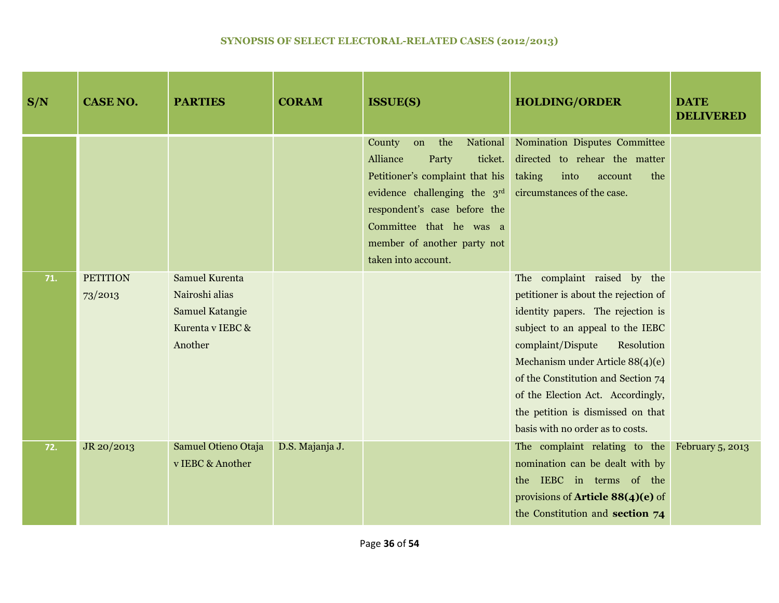| S/N | <b>CASE NO.</b>            | <b>PARTIES</b>                                                                                   | <b>CORAM</b>    | <b>ISSUE(S)</b>                                                                                                                                                                                                                                                      | <b>HOLDING/ORDER</b>                                                                                                                                                                                                                                                                                                                                                    | <b>DATE</b><br><b>DELIVERED</b> |
|-----|----------------------------|--------------------------------------------------------------------------------------------------|-----------------|----------------------------------------------------------------------------------------------------------------------------------------------------------------------------------------------------------------------------------------------------------------------|-------------------------------------------------------------------------------------------------------------------------------------------------------------------------------------------------------------------------------------------------------------------------------------------------------------------------------------------------------------------------|---------------------------------|
|     |                            |                                                                                                  |                 | County<br>on<br>the<br>Alliance<br>ticket.<br>Party<br>Petitioner's complaint that his<br>evidence challenging the $3rd$ circumstances of the case.<br>respondent's case before the<br>Committee that he was a<br>member of another party not<br>taken into account. | National Nomination Disputes Committee<br>directed to rehear the matter<br>taking<br>into<br>the<br>account                                                                                                                                                                                                                                                             |                                 |
| 71. | <b>PETITION</b><br>73/2013 | <b>Samuel Kurenta</b><br>Nairoshi alias<br><b>Samuel Katangie</b><br>Kurenta v IEBC &<br>Another |                 |                                                                                                                                                                                                                                                                      | The complaint raised by the<br>petitioner is about the rejection of<br>identity papers. The rejection is<br>subject to an appeal to the IEBC<br>Resolution<br>complaint/Dispute<br>Mechanism under Article 88(4)(e)<br>of the Constitution and Section 74<br>of the Election Act. Accordingly,<br>the petition is dismissed on that<br>basis with no order as to costs. |                                 |
| 72. | JR 20/2013                 | Samuel Otieno Otaja<br>v IEBC & Another                                                          | D.S. Majanja J. |                                                                                                                                                                                                                                                                      | The complaint relating to the<br>nomination can be dealt with by<br>the IEBC in terms of the<br>provisions of <b>Article 88(4)(e)</b> of<br>the Constitution and section 74                                                                                                                                                                                             | February 5, 2013                |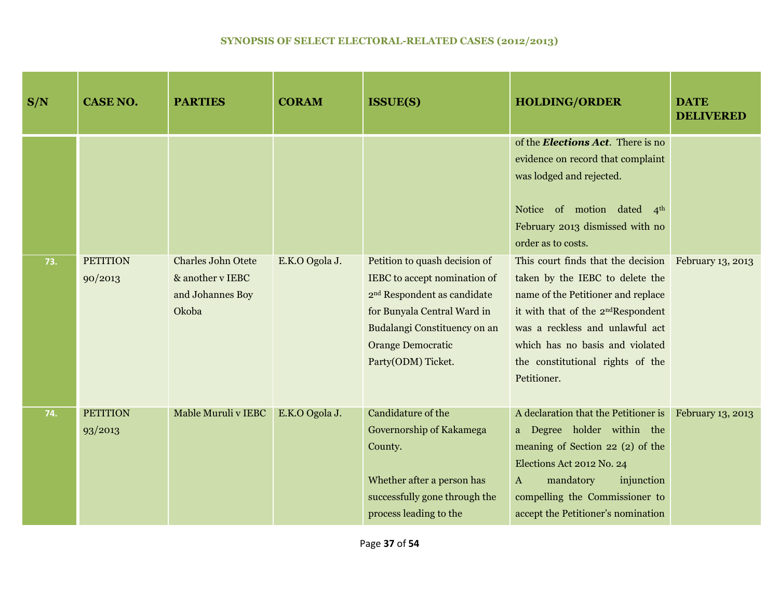| S/N | <b>CASE NO.</b>            | <b>PARTIES</b>                                                             | <b>CORAM</b>   | <b>ISSUE(S)</b>                                                                                                                                                                                                           | <b>HOLDING/ORDER</b>                                                                                                                                                                                                                                                                                     | <b>DATE</b><br><b>DELIVERED</b> |
|-----|----------------------------|----------------------------------------------------------------------------|----------------|---------------------------------------------------------------------------------------------------------------------------------------------------------------------------------------------------------------------------|----------------------------------------------------------------------------------------------------------------------------------------------------------------------------------------------------------------------------------------------------------------------------------------------------------|---------------------------------|
|     |                            |                                                                            |                |                                                                                                                                                                                                                           | of the <b>Elections Act</b> . There is no<br>evidence on record that complaint<br>was lodged and rejected.<br>Notice of motion dated 4th<br>February 2013 dismissed with no<br>order as to costs.                                                                                                        |                                 |
| 73. | <b>PETITION</b><br>90/2013 | <b>Charles John Otete</b><br>& another v IEBC<br>and Johannes Boy<br>Okoba | E.K.O Ogola J. | Petition to quash decision of<br>IEBC to accept nomination of<br>2 <sup>nd</sup> Respondent as candidate<br>for Bunyala Central Ward in<br>Budalangi Constituency on an<br><b>Orange Democratic</b><br>Party(ODM) Ticket. | This court finds that the decision February 13, 2013<br>taken by the IEBC to delete the<br>name of the Petitioner and replace<br>it with that of the 2 <sup>nd</sup> Respondent<br>was a reckless and unlawful act<br>which has no basis and violated<br>the constitutional rights of the<br>Petitioner. |                                 |
| 74. | <b>PETITION</b><br>93/2013 | Mable Muruli v IEBC                                                        | E.K.O Ogola J. | Candidature of the<br>Governorship of Kakamega<br>County.<br>Whether after a person has<br>successfully gone through the<br>process leading to the                                                                        | A declaration that the Petitioner is<br>a Degree holder within the<br>meaning of Section 22 (2) of the<br>Elections Act 2012 No. 24<br>mandatory<br>injunction<br>$\mathbf{A}$<br>compelling the Commissioner to<br>accept the Petitioner's nomination                                                   | February 13, 2013               |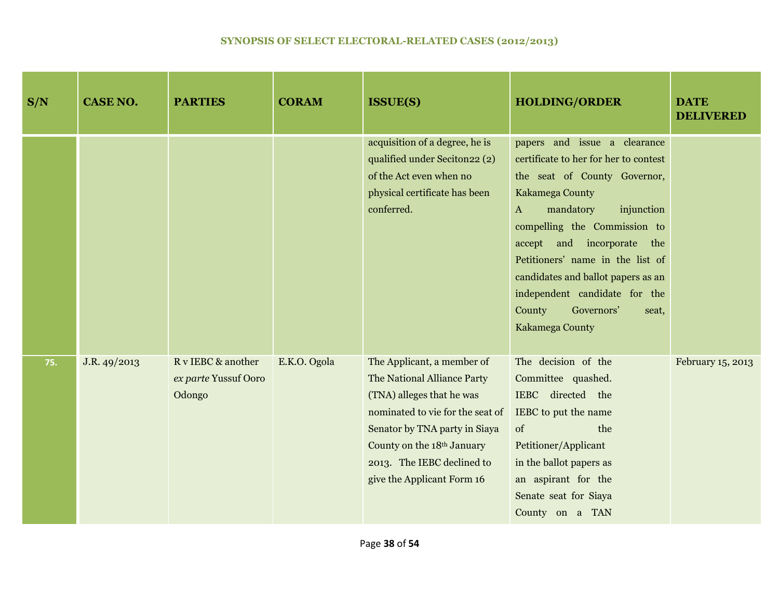| S/N | <b>CASE NO.</b> | <b>PARTIES</b>                                       | <b>CORAM</b> | <b>ISSUE(S)</b>                                                                                                                                                                                                                                       | <b>HOLDING/ORDER</b>                                                                                                                                                                                                                                                                                                                                                                            | <b>DATE</b><br><b>DELIVERED</b> |
|-----|-----------------|------------------------------------------------------|--------------|-------------------------------------------------------------------------------------------------------------------------------------------------------------------------------------------------------------------------------------------------------|-------------------------------------------------------------------------------------------------------------------------------------------------------------------------------------------------------------------------------------------------------------------------------------------------------------------------------------------------------------------------------------------------|---------------------------------|
|     |                 |                                                      |              | acquisition of a degree, he is<br>qualified under Seciton 22 (2)<br>of the Act even when no<br>physical certificate has been<br>conferred.                                                                                                            | papers and issue a clearance<br>certificate to her for her to contest<br>the seat of County Governor,<br>Kakamega County<br>mandatory<br>injunction<br>$\bf{A}$<br>compelling the Commission to<br>and incorporate the<br>accept<br>Petitioners' name in the list of<br>candidates and ballot papers as an<br>independent candidate for the<br>County<br>Governors'<br>seat,<br>Kakamega County |                                 |
| 75. | J.R. 49/2013    | R v IEBC & another<br>ex parte Yussuf Ooro<br>Odongo | E.K.O. Ogola | The Applicant, a member of<br>The National Alliance Party<br>(TNA) alleges that he was<br>nominated to vie for the seat of<br>Senator by TNA party in Siaya<br>County on the 18th January<br>2013. The IEBC declined to<br>give the Applicant Form 16 | The decision of the<br>Committee quashed.<br>IEBC directed the<br>IEBC to put the name<br>of<br>the<br>Petitioner/Applicant<br>in the ballot papers as<br>an aspirant for the<br>Senate seat for Siaya<br>County on a TAN                                                                                                                                                                       | February 15, 2013               |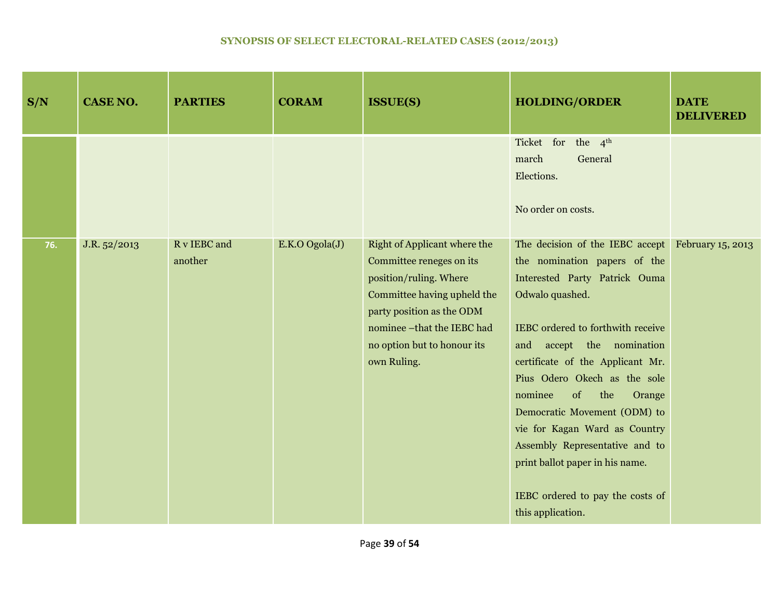| S/N | <b>CASE NO.</b> | <b>PARTIES</b>          | <b>CORAM</b>   | <b>ISSUE(S)</b>                                                                                                                                                                                                            | <b>HOLDING/ORDER</b>                                                                                                                                                                                                                                                                                                                                                                                                                                                                                         | <b>DATE</b><br><b>DELIVERED</b> |
|-----|-----------------|-------------------------|----------------|----------------------------------------------------------------------------------------------------------------------------------------------------------------------------------------------------------------------------|--------------------------------------------------------------------------------------------------------------------------------------------------------------------------------------------------------------------------------------------------------------------------------------------------------------------------------------------------------------------------------------------------------------------------------------------------------------------------------------------------------------|---------------------------------|
|     |                 |                         |                |                                                                                                                                                                                                                            | Ticket for the 4 <sup>th</sup><br>march<br>General<br>Elections.<br>No order on costs.                                                                                                                                                                                                                                                                                                                                                                                                                       |                                 |
| 76. | J.R. 52/2013    | R v IEBC and<br>another | E.K.O Ogola(J) | Right of Applicant where the<br>Committee reneges on its<br>position/ruling. Where<br>Committee having upheld the<br>party position as the ODM<br>nominee -that the IEBC had<br>no option but to honour its<br>own Ruling. | The decision of the IEBC accept February 15, 2013<br>the nomination papers of the<br>Interested Party Patrick Ouma<br>Odwalo quashed.<br>IEBC ordered to forthwith receive<br>and accept the nomination<br>certificate of the Applicant Mr.<br>Pius Odero Okech as the sole<br>nominee<br>of<br>the<br>Orange<br>Democratic Movement (ODM) to<br>vie for Kagan Ward as Country<br>Assembly Representative and to<br>print ballot paper in his name.<br>IEBC ordered to pay the costs of<br>this application. |                                 |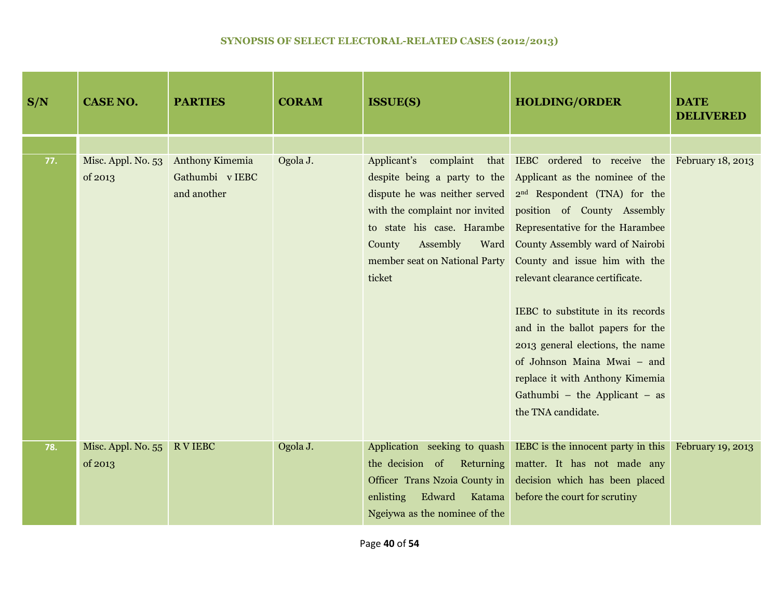| S/N | <b>CASE NO.</b>               | <b>PARTIES</b>                                    | <b>CORAM</b> | <b>ISSUE(S)</b>                                                                                                              | <b>HOLDING/ORDER</b>                                                                                                                                                                                                                                                                                                                                                                                                                                                                                                                                                                                                                                                                   | <b>DATE</b><br><b>DELIVERED</b> |
|-----|-------------------------------|---------------------------------------------------|--------------|------------------------------------------------------------------------------------------------------------------------------|----------------------------------------------------------------------------------------------------------------------------------------------------------------------------------------------------------------------------------------------------------------------------------------------------------------------------------------------------------------------------------------------------------------------------------------------------------------------------------------------------------------------------------------------------------------------------------------------------------------------------------------------------------------------------------------|---------------------------------|
|     |                               |                                                   |              |                                                                                                                              |                                                                                                                                                                                                                                                                                                                                                                                                                                                                                                                                                                                                                                                                                        |                                 |
| 77. | Misc. Appl. No. 53<br>of 2013 | Anthony Kimemia<br>Gathumbi v IEBC<br>and another | Ogola J.     | Assembly<br>County<br>member seat on National Party<br>ticket                                                                | Applicant's complaint that IEBC ordered to receive the February 18, 2013<br>despite being a party to the Applicant as the nominee of the<br>dispute he was neither served $2nd$ Respondent (TNA) for the<br>with the complaint nor invited position of County Assembly<br>to state his case. Harambe Representative for the Harambee<br>Ward County Assembly ward of Nairobi<br>County and issue him with the<br>relevant clearance certificate.<br>IEBC to substitute in its records<br>and in the ballot papers for the<br>2013 general elections, the name<br>of Johnson Maina Mwai - and<br>replace it with Anthony Kimemia<br>Gathumbi - the Applicant - as<br>the TNA candidate. |                                 |
| 78. | Misc. Appl. No. 55<br>of 2013 | <b>RVIEBC</b>                                     | Ogola J.     | the decision of Returning<br>Officer Trans Nzoia County in<br>enlisting<br>Edward<br>Katama<br>Ngeiywa as the nominee of the | Application seeking to quash IEBC is the innocent party in this February 19, 2013<br>matter. It has not made any<br>decision which has been placed<br>before the court for scrutiny                                                                                                                                                                                                                                                                                                                                                                                                                                                                                                    |                                 |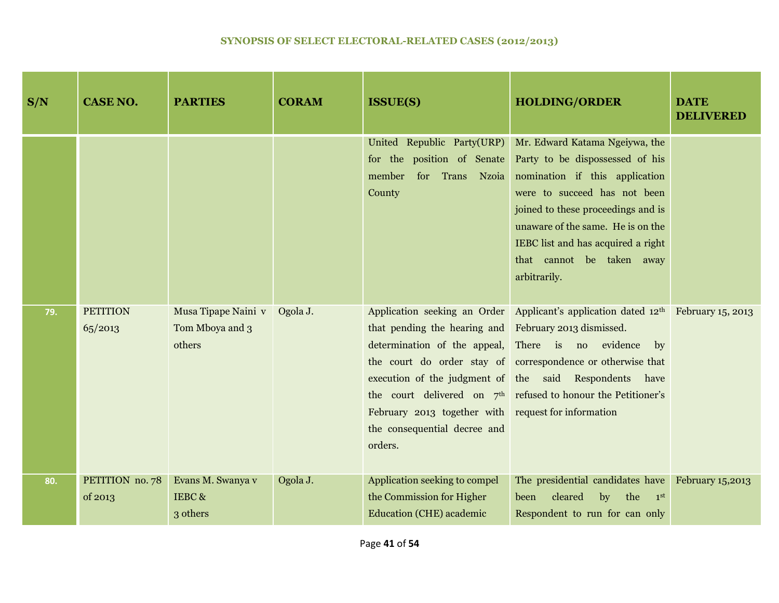| S/N | <b>CASE NO.</b>            | <b>PARTIES</b>                                   | <b>CORAM</b> | <b>ISSUE(S)</b>                                                                                                                                                                                              | <b>HOLDING/ORDER</b>                                                                                                                                                                                                                                                                                                                                    | <b>DATE</b><br><b>DELIVERED</b> |
|-----|----------------------------|--------------------------------------------------|--------------|--------------------------------------------------------------------------------------------------------------------------------------------------------------------------------------------------------------|---------------------------------------------------------------------------------------------------------------------------------------------------------------------------------------------------------------------------------------------------------------------------------------------------------------------------------------------------------|---------------------------------|
|     |                            |                                                  |              | member<br>for<br>Trans Nzoia<br>County                                                                                                                                                                       | United Republic Party(URP) Mr. Edward Katama Ngeiywa, the<br>for the position of Senate Party to be dispossessed of his<br>nomination if this application<br>were to succeed has not been<br>joined to these proceedings and is<br>unaware of the same. He is on the<br>IEBC list and has acquired a right<br>that cannot be taken away<br>arbitrarily. |                                 |
| 79. | <b>PETITION</b><br>65/2013 | Musa Tipape Naini v<br>Tom Mboya and 3<br>others | Ogola J.     | that pending the hearing and February 2013 dismissed.<br>determination of the appeal, There is no evidence<br>February 2013 together with request for information<br>the consequential decree and<br>orders. | Application seeking an Order Applicant's application dated $12th$ February 15, 2013<br>$_{\rm by}$<br>the court do order stay of correspondence or otherwise that<br>execution of the judgment of the said Respondents have<br>the court delivered on $7th$ refused to honour the Petitioner's                                                          |                                 |
| 80. | PETITION no. 78<br>of 2013 | Evans M. Swanya v<br>IEBC&<br>3 others           | Ogola J.     | Application seeking to compel<br>the Commission for Higher<br><b>Education (CHE)</b> academic                                                                                                                | The presidential candidates have<br>cleared<br>by<br>the<br>been<br>1 <sup>st</sup><br>Respondent to run for can only                                                                                                                                                                                                                                   | <b>February 15,2013</b>         |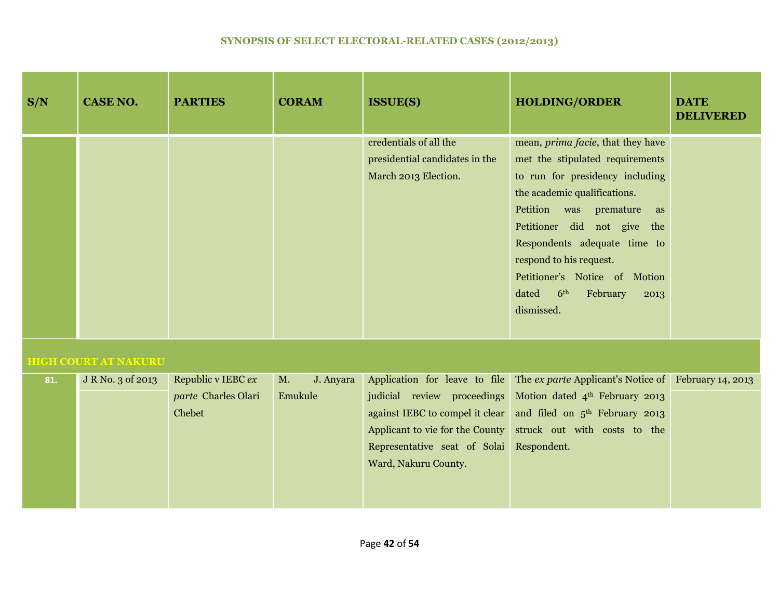| S/N | <b>CASE NO.</b>             | <b>PARTIES</b>                                      | <b>CORAM</b>               | <b>ISSUE(S)</b>                                                                  | <b>HOLDING/ORDER</b>                                                                                                                                                                                                                                                                                                                                                     | <b>DATE</b><br><b>DELIVERED</b> |
|-----|-----------------------------|-----------------------------------------------------|----------------------------|----------------------------------------------------------------------------------|--------------------------------------------------------------------------------------------------------------------------------------------------------------------------------------------------------------------------------------------------------------------------------------------------------------------------------------------------------------------------|---------------------------------|
|     |                             |                                                     |                            | credentials of all the<br>presidential candidates in the<br>March 2013 Election. | mean, <i>prima facie</i> , that they have<br>met the stipulated requirements<br>to run for presidency including<br>the academic qualifications.<br>Petition was premature<br>as<br>Petitioner did not give the<br>Respondents adequate time to<br>respond to his request.<br>Petitioner's Notice of Motion<br>6 <sup>th</sup><br>dated<br>February<br>2013<br>dismissed. |                                 |
|     | <b>HIGH COURT AT NAKURU</b> |                                                     |                            |                                                                                  |                                                                                                                                                                                                                                                                                                                                                                          |                                 |
| 81. | J R No. 3 of 2013           | Republic v IEBC ex<br>parte Charles Olari<br>Chebet | J. Anyara<br>M.<br>Emukule | Representative seat of Solai<br>Ward, Nakuru County.                             | Application for leave to file The ex parte Applicant's Notice of<br>judicial review proceedings Motion dated 4th February 2013<br>against IEBC to compel it clear and filed on 5 <sup>th</sup> February 2013<br>Applicant to vie for the County struck out with costs to the<br>Respondent.                                                                              | February 14, 2013               |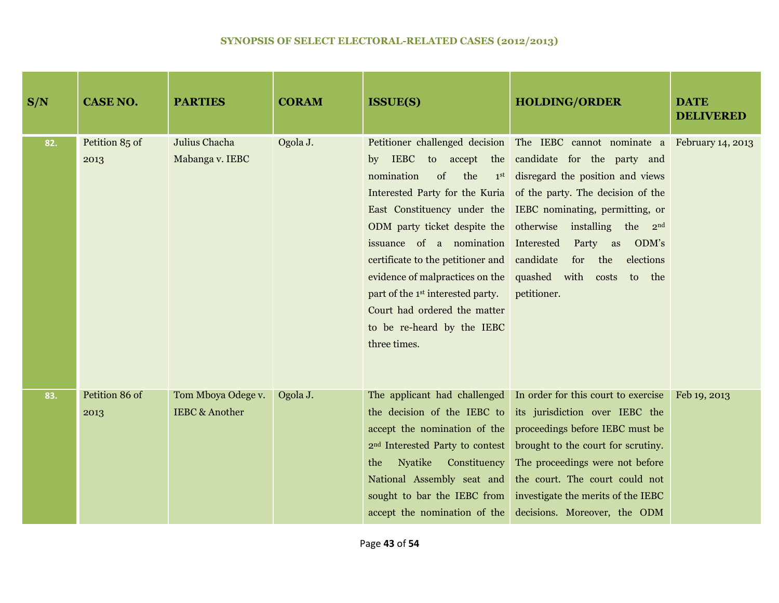| S/N | <b>CASE NO.</b>        | <b>PARTIES</b>                                  | <b>CORAM</b> | <b>ISSUE(S)</b>                                                                                                                                                                                                                                                                                                                                   | <b>HOLDING/ORDER</b>                                                                                                                                                                                                                                                                                                                                                                                                      | <b>DATE</b><br><b>DELIVERED</b> |
|-----|------------------------|-------------------------------------------------|--------------|---------------------------------------------------------------------------------------------------------------------------------------------------------------------------------------------------------------------------------------------------------------------------------------------------------------------------------------------------|---------------------------------------------------------------------------------------------------------------------------------------------------------------------------------------------------------------------------------------------------------------------------------------------------------------------------------------------------------------------------------------------------------------------------|---------------------------------|
| 82. | Petition 85 of<br>2013 | Julius Chacha<br>Mabanga v. IEBC                | Ogola J.     | nomination<br>of<br>the<br>Interested Party for the Kuria<br>ODM party ticket despite the otherwise<br>issuance of a nomination Interested<br>certificate to the petitioner and<br>evidence of malpractices on the<br>part of the 1 <sup>st</sup> interested party.<br>Court had ordered the matter<br>to be re-heard by the IEBC<br>three times. | Petitioner challenged decision The IEBC cannot nominate a February 14, 2013<br>by IEBC to accept the candidate for the party and<br>1 <sup>st</sup> disregard the position and views<br>of the party. The decision of the<br>East Constituency under the IEBC nominating, permitting, or<br>installing the $2nd$<br>Party as<br>ODM's<br>candidate<br>for<br>the<br>elections<br>quashed with costs to the<br>petitioner. |                                 |
| 83. | Petition 86 of<br>2013 | Tom Mboya Odege v.<br><b>IEBC &amp; Another</b> | Ogola J.     | The applicant had challenged<br>the decision of the IEBC to<br>accept the nomination of the<br>2 <sup>nd</sup> Interested Party to contest<br>Nyatike Constituency<br>the<br>National Assembly seat and<br>sought to bar the IEBC from<br>accept the nomination of the                                                                            | In order for this court to exercise<br>its jurisdiction over IEBC the<br>proceedings before IEBC must be<br>brought to the court for scrutiny.<br>The proceedings were not before<br>the court. The court could not<br>investigate the merits of the IEBC<br>decisions. Moreover, the ODM                                                                                                                                 | Feb 19, 2013                    |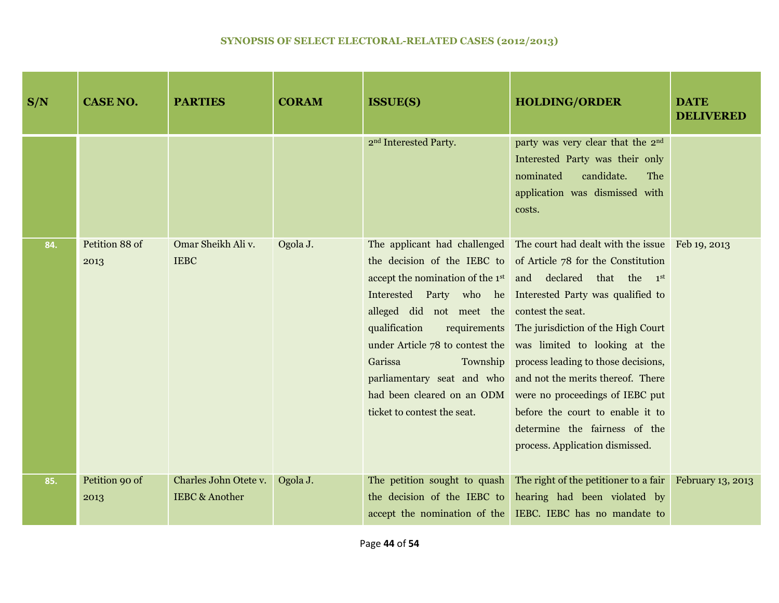| S/N | <b>CASE NO.</b>        | <b>PARTIES</b>                                     | <b>CORAM</b> | <b>ISSUE(S)</b>                                                                                       | <b>HOLDING/ORDER</b>                                                                                                                                                                                                                                                                                                                                                                                                                                                                                                                                                                                                                                                                                        | <b>DATE</b><br><b>DELIVERED</b> |
|-----|------------------------|----------------------------------------------------|--------------|-------------------------------------------------------------------------------------------------------|-------------------------------------------------------------------------------------------------------------------------------------------------------------------------------------------------------------------------------------------------------------------------------------------------------------------------------------------------------------------------------------------------------------------------------------------------------------------------------------------------------------------------------------------------------------------------------------------------------------------------------------------------------------------------------------------------------------|---------------------------------|
|     |                        |                                                    |              | 2 <sup>nd</sup> Interested Party.                                                                     | party was very clear that the 2 <sup>nd</sup><br>Interested Party was their only<br>nominated<br>candidate.<br>The<br>application was dismissed with<br>costs.                                                                                                                                                                                                                                                                                                                                                                                                                                                                                                                                              |                                 |
| 84. | Petition 88 of<br>2013 | Omar Sheikh Ali v.<br><b>IEBC</b>                  | Ogola J.     | alleged did not meet the contest the seat.<br>qualification<br>Garissa<br>ticket to contest the seat. | The applicant had challenged The court had dealt with the issue Feb 19, 2013<br>the decision of the IEBC to of Article 78 for the Constitution<br>accept the nomination of the 1 <sup>st</sup> and declared that the 1 <sup>st</sup><br>Interested Party who he Interested Party was qualified to<br>requirements The jurisdiction of the High Court<br>under Article 78 to contest the was limited to looking at the<br>Township process leading to those decisions,<br>parliamentary seat and who and not the merits thereof. There<br>had been cleared on an ODM were no proceedings of IEBC put<br>before the court to enable it to<br>determine the fairness of the<br>process. Application dismissed. |                                 |
| 85. | Petition 90 of<br>2013 | Charles John Otete v.<br><b>IEBC &amp; Another</b> | Ogola J.     | The petition sought to quash<br>the decision of the IEBC to                                           | The right of the petitioner to a fair<br>hearing had been violated by<br>accept the nomination of the IEBC. IEBC has no mandate to                                                                                                                                                                                                                                                                                                                                                                                                                                                                                                                                                                          | February 13, 2013               |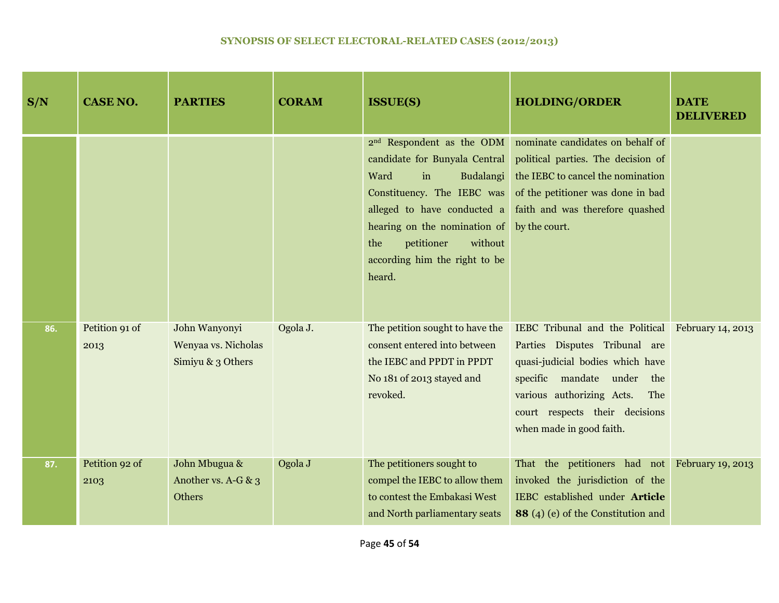| S/N | <b>CASE NO.</b>        | <b>PARTIES</b>                                            | <b>CORAM</b> | <b>ISSUE(S)</b>                                                                                                                                                                                                                                                           | <b>HOLDING/ORDER</b>                                                                                                                                                                                                                                   | <b>DATE</b><br><b>DELIVERED</b> |
|-----|------------------------|-----------------------------------------------------------|--------------|---------------------------------------------------------------------------------------------------------------------------------------------------------------------------------------------------------------------------------------------------------------------------|--------------------------------------------------------------------------------------------------------------------------------------------------------------------------------------------------------------------------------------------------------|---------------------------------|
|     |                        |                                                           |              | 2 <sup>nd</sup> Respondent as the ODM<br>candidate for Bunyala Central<br>Ward<br>Budalangi<br>in<br>Constituency. The IEBC was<br>alleged to have conducted a<br>hearing on the nomination of<br>the<br>petitioner<br>without<br>according him the right to be<br>heard. | nominate candidates on behalf of<br>political parties. The decision of<br>the IEBC to cancel the nomination<br>of the petitioner was done in bad<br>faith and was therefore quashed<br>by the court.                                                   |                                 |
| 86. | Petition 91 of<br>2013 | John Wanyonyi<br>Wenyaa vs. Nicholas<br>Simiyu & 3 Others | Ogola J.     | The petition sought to have the<br>consent entered into between<br>the IEBC and PPDT in PPDT<br>No 181 of 2013 stayed and<br>revoked.                                                                                                                                     | IEBC Tribunal and the Political February 14, 2013<br>Parties Disputes Tribunal are<br>quasi-judicial bodies which have<br>specific mandate under the<br>various authorizing Acts.<br>The<br>court respects their decisions<br>when made in good faith. |                                 |
| 87. | Petition 92 of<br>2103 | John Mbugua &<br>Another vs. A-G & 3<br>Others            | Ogola J      | The petitioners sought to<br>compel the IEBC to allow them<br>to contest the Embakasi West<br>and North parliamentary seats                                                                                                                                               | That the petitioners had not February 19, 2013<br>invoked the jurisdiction of the<br>IEBC established under Article<br><b>88</b> (4) (e) of the Constitution and                                                                                       |                                 |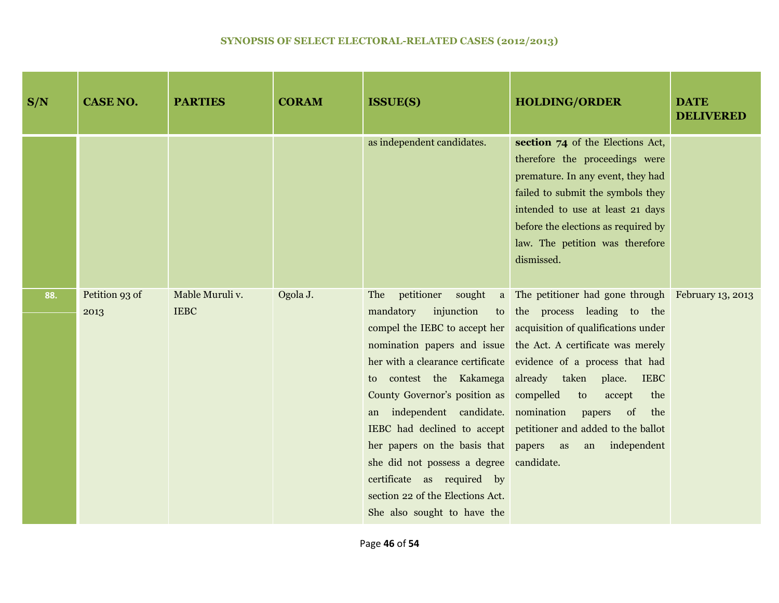| S/N | <b>CASE NO.</b>        | <b>PARTIES</b>                 | <b>CORAM</b> | <b>ISSUE(S)</b>                                                                                                                                                                                                                                                                                                                                         | <b>HOLDING/ORDER</b>                                                                                                                                                                                                                                                                                                                                                                                                                                                            | <b>DATE</b><br><b>DELIVERED</b> |
|-----|------------------------|--------------------------------|--------------|---------------------------------------------------------------------------------------------------------------------------------------------------------------------------------------------------------------------------------------------------------------------------------------------------------------------------------------------------------|---------------------------------------------------------------------------------------------------------------------------------------------------------------------------------------------------------------------------------------------------------------------------------------------------------------------------------------------------------------------------------------------------------------------------------------------------------------------------------|---------------------------------|
|     |                        |                                |              | as independent candidates.                                                                                                                                                                                                                                                                                                                              | section 74 of the Elections Act,<br>therefore the proceedings were<br>premature. In any event, they had<br>failed to submit the symbols they<br>intended to use at least 21 days<br>before the elections as required by<br>law. The petition was therefore<br>dismissed.                                                                                                                                                                                                        |                                 |
| 88. | Petition 93 of<br>2013 | Mable Muruli v.<br><b>IEBC</b> | Ogola J.     | petitioner<br>sought<br>The<br>injunction<br>mandatory<br>to contest the Kakamega<br>County Governor's position as<br>an independent candidate. nomination papers<br>her papers on the basis that papers as<br>she did not possess a degree candidate.<br>certificate as required by<br>section 22 of the Elections Act.<br>She also sought to have the | a The petitioner had gone through February 13, 2013<br>to the process leading to the<br>compel the IEBC to accept her acquisition of qualifications under<br>nomination papers and issue the Act. A certificate was merely<br>her with a clearance certificate evidence of a process that had<br>already taken place.<br><b>IEBC</b><br>compelled<br>to<br>accept<br>the<br>$\sigma$<br>the<br>IEBC had declined to accept petitioner and added to the ballot<br>an independent |                                 |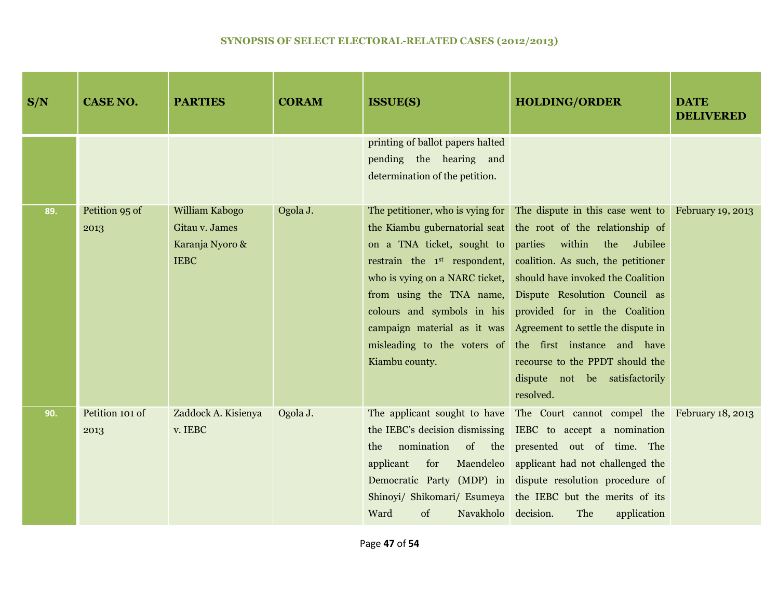| S/N | <b>CASE NO.</b>         | <b>PARTIES</b>                                                     | <b>CORAM</b> | <b>ISSUE(S)</b>                                                                                                                                                                                                                                                                                                         | <b>HOLDING/ORDER</b>                                                                                                                                                                                                                                                                                                                                                                                                            | <b>DATE</b><br><b>DELIVERED</b> |
|-----|-------------------------|--------------------------------------------------------------------|--------------|-------------------------------------------------------------------------------------------------------------------------------------------------------------------------------------------------------------------------------------------------------------------------------------------------------------------------|---------------------------------------------------------------------------------------------------------------------------------------------------------------------------------------------------------------------------------------------------------------------------------------------------------------------------------------------------------------------------------------------------------------------------------|---------------------------------|
|     |                         |                                                                    |              | printing of ballot papers halted<br>pending the hearing and<br>determination of the petition.                                                                                                                                                                                                                           |                                                                                                                                                                                                                                                                                                                                                                                                                                 |                                 |
| 89. | Petition 95 of<br>2013  | William Kabogo<br>Gitau v. James<br>Karanja Nyoro &<br><b>IEBC</b> | Ogola J.     | The petitioner, who is vying for<br>the Kiambu gubernatorial seat<br>on a TNA ticket, sought to<br>restrain the 1 <sup>st</sup> respondent,<br>who is vying on a NARC ticket,<br>from using the TNA name,<br>colours and symbols in his<br>campaign material as it was<br>misleading to the voters of<br>Kiambu county. | The dispute in this case went to February 19, 2013<br>the root of the relationship of<br>parties<br>within<br>the<br>Jubilee<br>coalition. As such, the petitioner<br>should have invoked the Coalition<br>Dispute Resolution Council as<br>provided for in the Coalition<br>Agreement to settle the dispute in<br>the first instance and have<br>recourse to the PPDT should the<br>dispute not be satisfactorily<br>resolved. |                                 |
| 90. | Petition 101 of<br>2013 | Zaddock A. Kisienya<br>v. IEBC                                     | Ogola J.     | nomination<br>the<br>applicant<br>for<br>of<br>Navakholo decision.<br>Ward                                                                                                                                                                                                                                              | The applicant sought to have The Court cannot compel the February 18, 2013<br>the IEBC's decision dismissing IEBC to accept a nomination<br>of the presented out of time. The<br>Maendeleo applicant had not challenged the<br>Democratic Party (MDP) in dispute resolution procedure of<br>Shinoyi/ Shikomari/ Esumeya the IEBC but the merits of its<br>The<br>application                                                    |                                 |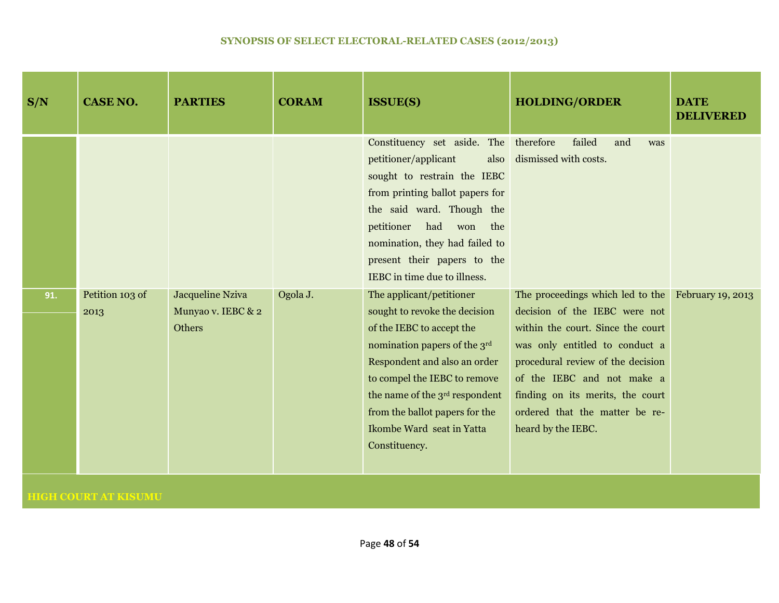| S/N | <b>CASE NO.</b>         | <b>PARTIES</b>                                   | <b>CORAM</b> | <b>ISSUE(S)</b>                                                                                                                                                                                                                                                                                                      | <b>HOLDING/ORDER</b>                                                                                                                                                                                                                                                                                                      | <b>DATE</b><br><b>DELIVERED</b> |
|-----|-------------------------|--------------------------------------------------|--------------|----------------------------------------------------------------------------------------------------------------------------------------------------------------------------------------------------------------------------------------------------------------------------------------------------------------------|---------------------------------------------------------------------------------------------------------------------------------------------------------------------------------------------------------------------------------------------------------------------------------------------------------------------------|---------------------------------|
|     |                         |                                                  |              | Constituency set aside. The therefore<br>petitioner/applicant<br>also<br>sought to restrain the IEBC<br>from printing ballot papers for<br>the said ward. Though the<br>petitioner<br>had<br>won<br>the<br>nomination, they had failed to<br>present their papers to the<br>IEBC in time due to illness.             | failed<br>and<br>was<br>dismissed with costs.                                                                                                                                                                                                                                                                             |                                 |
| 91. | Petition 103 of<br>2013 | Jacqueline Nziva<br>Munyao v. IEBC & 2<br>Others | Ogola J.     | The applicant/petitioner<br>sought to revoke the decision<br>of the IEBC to accept the<br>nomination papers of the 3rd<br>Respondent and also an order<br>to compel the IEBC to remove<br>the name of the 3 <sup>rd</sup> respondent<br>from the ballot papers for the<br>Ikombe Ward seat in Yatta<br>Constituency. | The proceedings which led to the February 19, 2013<br>decision of the IEBC were not<br>within the court. Since the court<br>was only entitled to conduct a<br>procedural review of the decision<br>of the IEBC and not make a<br>finding on its merits, the court<br>ordered that the matter be re-<br>heard by the IEBC. |                                 |

# **HIGH COURT AT KISUMU**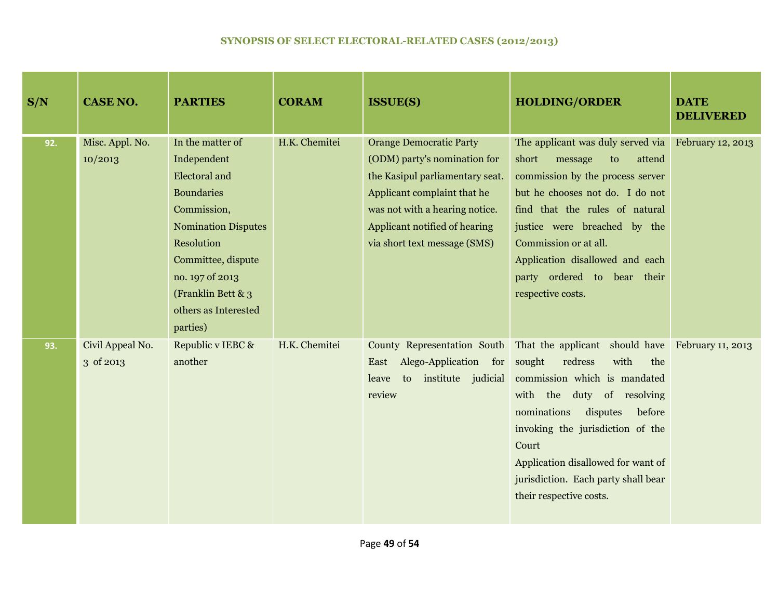| S/N | <b>CASE NO.</b>               | <b>PARTIES</b>                                                                                                                                                                                                                             | <b>CORAM</b>  | <b>ISSUE(S)</b>                                                                                                                                                                                                                     | <b>HOLDING/ORDER</b>                                                                                                                                                                                                                                                                                                                             | <b>DATE</b><br><b>DELIVERED</b> |
|-----|-------------------------------|--------------------------------------------------------------------------------------------------------------------------------------------------------------------------------------------------------------------------------------------|---------------|-------------------------------------------------------------------------------------------------------------------------------------------------------------------------------------------------------------------------------------|--------------------------------------------------------------------------------------------------------------------------------------------------------------------------------------------------------------------------------------------------------------------------------------------------------------------------------------------------|---------------------------------|
| 92. | Misc. Appl. No.<br>10/2013    | In the matter of<br>Independent<br><b>Electoral</b> and<br><b>Boundaries</b><br>Commission,<br><b>Nomination Disputes</b><br>Resolution<br>Committee, dispute<br>no. 197 of 2013<br>(Franklin Bett & 3<br>others as Interested<br>parties) | H.K. Chemitei | <b>Orange Democratic Party</b><br>(ODM) party's nomination for<br>the Kasipul parliamentary seat.<br>Applicant complaint that he<br>was not with a hearing notice.<br>Applicant notified of hearing<br>via short text message (SMS) | The applicant was duly served via February 12, 2013<br>short<br>attend<br>message<br>to<br>commission by the process server<br>but he chooses not do. I do not<br>find that the rules of natural<br>justice were breached by the<br>Commission or at all.<br>Application disallowed and each<br>party ordered to bear their<br>respective costs. |                                 |
| 93. | Civil Appeal No.<br>3 of 2013 | Republic v IEBC &<br>another                                                                                                                                                                                                               | H.K. Chemitei | County Representation South<br>Alego-Application for<br>East<br>to institute judicial<br>leave<br>review                                                                                                                            | That the applicant should have February 11, 2013<br>with<br>sought<br>redress<br>the<br>commission which is mandated<br>with the<br>duty of resolving<br>disputes<br>nominations<br>before<br>invoking the jurisdiction of the<br>Court<br>Application disallowed for want of<br>jurisdiction. Each party shall bear<br>their respective costs.  |                                 |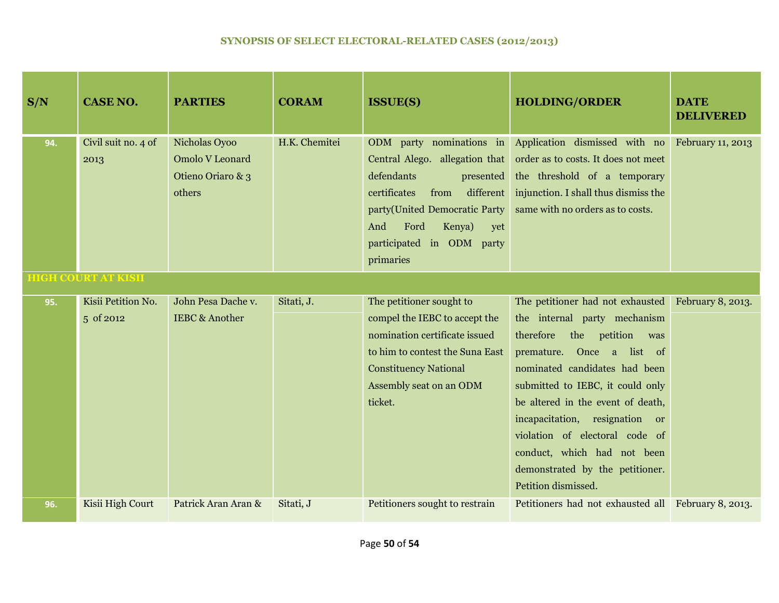| S/N | <b>CASE NO.</b>                 | <b>PARTIES</b>                                                         | <b>CORAM</b>  | <b>ISSUE(S)</b>                                                                                                                                                                                                                       | <b>HOLDING/ORDER</b>                                                                                                                                                                                                                                                                                                                                                                                        | <b>DATE</b><br><b>DELIVERED</b> |
|-----|---------------------------------|------------------------------------------------------------------------|---------------|---------------------------------------------------------------------------------------------------------------------------------------------------------------------------------------------------------------------------------------|-------------------------------------------------------------------------------------------------------------------------------------------------------------------------------------------------------------------------------------------------------------------------------------------------------------------------------------------------------------------------------------------------------------|---------------------------------|
| 94. | Civil suit no. 4 of<br>2013     | Nicholas Oyoo<br><b>Omolo V Leonard</b><br>Otieno Oriaro & 3<br>others | H.K. Chemitei | ODM party nominations in<br>Central Alego. allegation that<br>defendants<br>presented<br>different<br>certificates<br>from<br>party(United Democratic Party<br>Ford<br>Kenya)<br>And<br>yet<br>participated in ODM party<br>primaries | Application dismissed with no<br>order as to costs. It does not meet<br>the threshold of a temporary<br>injunction. I shall thus dismiss the<br>same with no orders as to costs.                                                                                                                                                                                                                            | February 11, 2013               |
|     | <b>HIGH COURT AT KISII</b>      |                                                                        |               |                                                                                                                                                                                                                                       |                                                                                                                                                                                                                                                                                                                                                                                                             |                                 |
| 95. | Kisii Petition No.<br>5 of 2012 | John Pesa Dache v.<br><b>IEBC &amp; Another</b>                        | Sitati, J.    | The petitioner sought to<br>compel the IEBC to accept the<br>nomination certificate issued<br>to him to contest the Suna East<br><b>Constituency National</b><br>Assembly seat on an ODM<br>ticket.                                   | The petitioner had not exhausted<br>the internal party mechanism<br>therefore<br>the<br>petition<br>was<br>premature. Once a list of<br>nominated candidates had been<br>submitted to IEBC, it could only<br>be altered in the event of death,<br>incapacitation, resignation or<br>violation of electoral code of<br>conduct, which had not been<br>demonstrated by the petitioner.<br>Petition dismissed. | February 8, 2013.               |
| 96. | Kisii High Court                | Patrick Aran Aran &                                                    | Sitati, J     | Petitioners sought to restrain                                                                                                                                                                                                        | Petitioners had not exhausted all February 8, 2013.                                                                                                                                                                                                                                                                                                                                                         |                                 |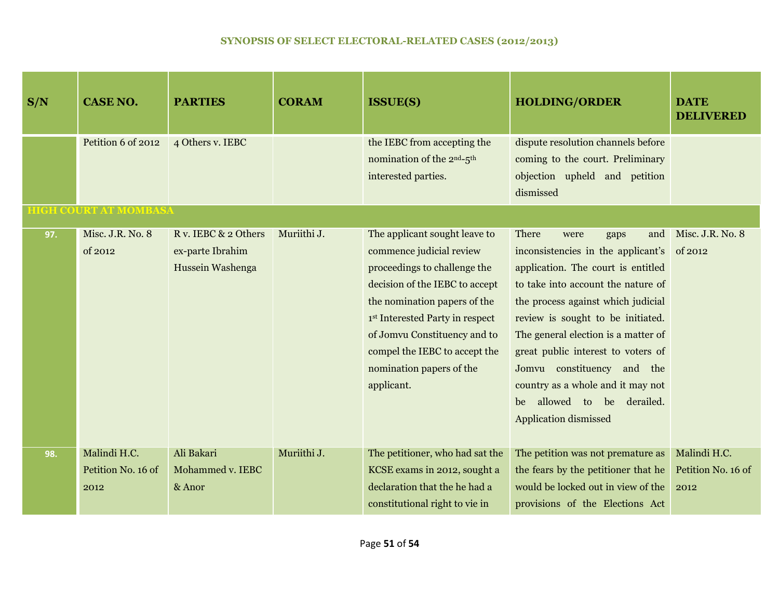| S/N | <b>CASE NO.</b>                                    | <b>PARTIES</b>                                               | <b>CORAM</b> | <b>ISSUE(S)</b>                                                                                                                                                                                                                                                                                           | <b>HOLDING/ORDER</b>                                                                                                                                                                                                                                                                                                                                                                                                                       | <b>DATE</b><br><b>DELIVERED</b>            |
|-----|----------------------------------------------------|--------------------------------------------------------------|--------------|-----------------------------------------------------------------------------------------------------------------------------------------------------------------------------------------------------------------------------------------------------------------------------------------------------------|--------------------------------------------------------------------------------------------------------------------------------------------------------------------------------------------------------------------------------------------------------------------------------------------------------------------------------------------------------------------------------------------------------------------------------------------|--------------------------------------------|
|     | Petition 6 of 2012<br><b>HIGH COURT AT MOMBASA</b> | 4 Others v. IEBC                                             |              | the IEBC from accepting the<br>nomination of the 2 <sup>nd</sup> -5 <sup>th</sup><br>interested parties.                                                                                                                                                                                                  | dispute resolution channels before<br>coming to the court. Preliminary<br>objection upheld and petition<br>dismissed                                                                                                                                                                                                                                                                                                                       |                                            |
| 97. | Misc. J.R. No. 8<br>of 2012                        | R v. IEBC & 2 Others<br>ex-parte Ibrahim<br>Hussein Washenga | Muriithi J.  | The applicant sought leave to<br>commence judicial review<br>proceedings to challenge the<br>decision of the IEBC to accept<br>the nomination papers of the<br>1st Interested Party in respect<br>of Jomvu Constituency and to<br>compel the IEBC to accept the<br>nomination papers of the<br>applicant. | There<br>and<br>were<br>gaps<br>inconsistencies in the applicant's<br>application. The court is entitled<br>to take into account the nature of<br>the process against which judicial<br>review is sought to be initiated.<br>The general election is a matter of<br>great public interest to voters of<br>Jomvu constituency and the<br>country as a whole and it may not<br>allowed to be derailed.<br>be<br><b>Application dismissed</b> | Misc. J.R. No. 8<br>of 2012                |
| 98. | Malindi H.C.<br>Petition No. 16 of<br>2012         | Ali Bakari<br>Mohammed v. IEBC<br>& Anor                     | Muriithi J.  | The petitioner, who had sat the<br>KCSE exams in 2012, sought a<br>declaration that the he had a<br>constitutional right to vie in                                                                                                                                                                        | The petition was not premature as<br>the fears by the petitioner that he<br>would be locked out in view of the<br>provisions of the Elections Act                                                                                                                                                                                                                                                                                          | Malindi H.C.<br>Petition No. 16 of<br>2012 |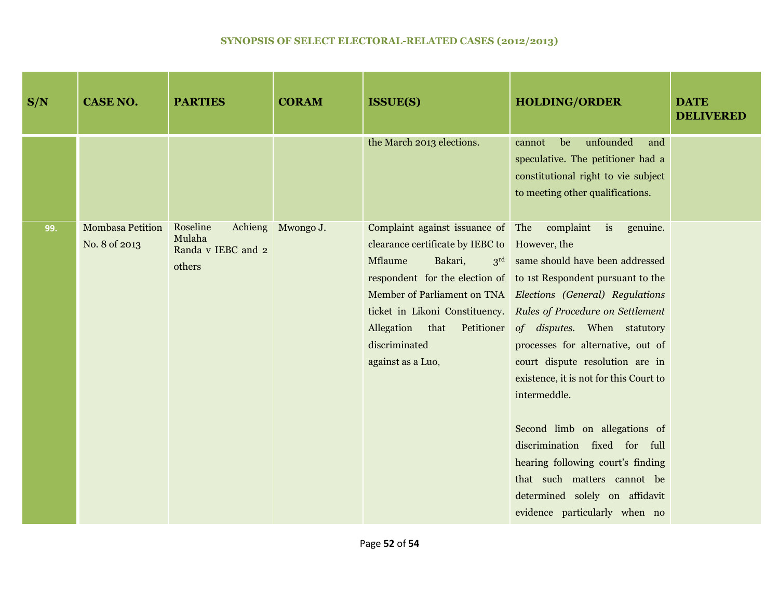| S/N | <b>CASE NO.</b>                          | <b>PARTIES</b>                                     | <b>CORAM</b>      | <b>ISSUE(S)</b>                                                                                                                                                                              | <b>HOLDING/ORDER</b>                                                                                                                                                                                                                                                                                                                                                                                                                                                                                                                                                                                                                                 | <b>DATE</b><br><b>DELIVERED</b> |
|-----|------------------------------------------|----------------------------------------------------|-------------------|----------------------------------------------------------------------------------------------------------------------------------------------------------------------------------------------|------------------------------------------------------------------------------------------------------------------------------------------------------------------------------------------------------------------------------------------------------------------------------------------------------------------------------------------------------------------------------------------------------------------------------------------------------------------------------------------------------------------------------------------------------------------------------------------------------------------------------------------------------|---------------------------------|
|     |                                          |                                                    |                   | the March 2013 elections.                                                                                                                                                                    | unfounded<br>be<br>cannot<br>and<br>speculative. The petitioner had a<br>constitutional right to vie subject<br>to meeting other qualifications.                                                                                                                                                                                                                                                                                                                                                                                                                                                                                                     |                                 |
| 99. | <b>Mombasa Petition</b><br>No. 8 of 2013 | Roseline<br>Mulaha<br>Randa v IEBC and 2<br>others | Achieng Mwongo J. | Complaint against issuance of The complaint<br>clearance certificate by IEBC to However, the<br>Mflaume<br>Bakari,<br>Allegation<br>that<br>Petitioner<br>discriminated<br>against as a Luo, | $i$ s<br>genuine.<br>3 <sup>rd</sup> same should have been addressed<br>respondent for the election of to 1st Respondent pursuant to the<br>Member of Parliament on TNA Elections (General) Regulations<br>ticket in Likoni Constituency. Rules of Procedure on Settlement<br>of disputes. When statutory<br>processes for alternative, out of<br>court dispute resolution are in<br>existence, it is not for this Court to<br>intermeddle.<br>Second limb on allegations of<br>discrimination fixed for full<br>hearing following court's finding<br>that such matters cannot be<br>determined solely on affidavit<br>evidence particularly when no |                                 |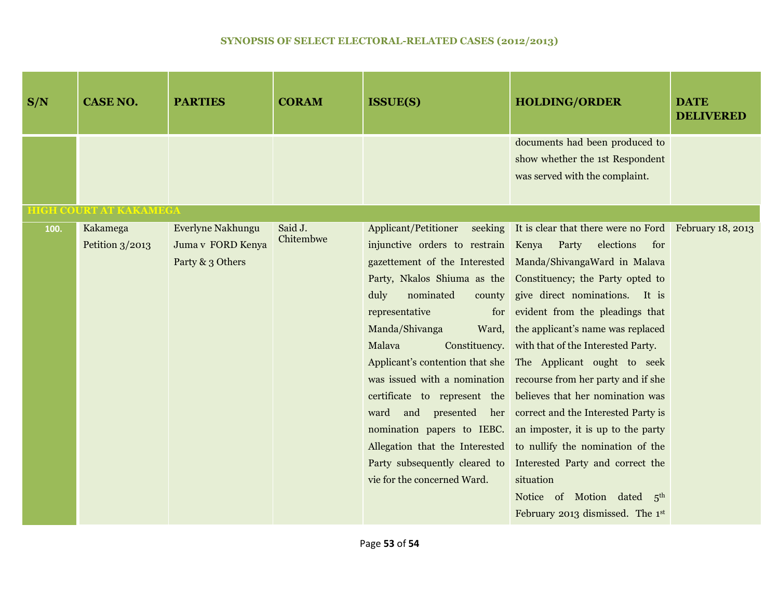| S/N  | <b>CASE NO.</b>               | <b>PARTIES</b>                                             | <b>CORAM</b>         | <b>ISSUE(S)</b>                                                                                                                                                                                                      | <b>HOLDING/ORDER</b>                                                                                                                                                                                                                                                                                                                                                                                                                                                                                                                                                                                                                                                                                                                                                                                                                       | <b>DATE</b><br><b>DELIVERED</b> |
|------|-------------------------------|------------------------------------------------------------|----------------------|----------------------------------------------------------------------------------------------------------------------------------------------------------------------------------------------------------------------|--------------------------------------------------------------------------------------------------------------------------------------------------------------------------------------------------------------------------------------------------------------------------------------------------------------------------------------------------------------------------------------------------------------------------------------------------------------------------------------------------------------------------------------------------------------------------------------------------------------------------------------------------------------------------------------------------------------------------------------------------------------------------------------------------------------------------------------------|---------------------------------|
|      |                               |                                                            |                      |                                                                                                                                                                                                                      | documents had been produced to<br>show whether the 1st Respondent<br>was served with the complaint.                                                                                                                                                                                                                                                                                                                                                                                                                                                                                                                                                                                                                                                                                                                                        |                                 |
|      | <b>HIGH COURT AT KAKAMEGA</b> |                                                            |                      |                                                                                                                                                                                                                      |                                                                                                                                                                                                                                                                                                                                                                                                                                                                                                                                                                                                                                                                                                                                                                                                                                            |                                 |
| 100. | Kakamega<br>Petition $3/2013$ | Everlyne Nakhungu<br>Juma v FORD Kenya<br>Party & 3 Others | Said J.<br>Chitembwe | Applicant/Petitioner<br>injunctive orders to restrain Kenya Party<br>duly<br>nominated<br>representative<br>for<br>Manda/Shivanga<br>Ward,<br>Malava<br>Party subsequently cleared to<br>vie for the concerned Ward. | seeking It is clear that there were no Ford February 18, 2013<br>elections<br>for<br>gazettement of the Interested Manda/ShivangaWard in Malava<br>Party, Nkalos Shiuma as the Constituency; the Party opted to<br>county give direct nominations. It is<br>evident from the pleadings that<br>the applicant's name was replaced<br>Constituency. with that of the Interested Party.<br>Applicant's contention that she The Applicant ought to seek<br>was issued with a nomination recourse from her party and if she<br>certificate to represent the believes that her nomination was<br>ward and presented her correct and the Interested Party is<br>nomination papers to IEBC. an imposter, it is up to the party<br>Allegation that the Interested to nullify the nomination of the<br>Interested Party and correct the<br>situation |                                 |
|      |                               |                                                            |                      |                                                                                                                                                                                                                      | Notice of Motion dated 5th<br>February 2013 dismissed. The 1st                                                                                                                                                                                                                                                                                                                                                                                                                                                                                                                                                                                                                                                                                                                                                                             |                                 |